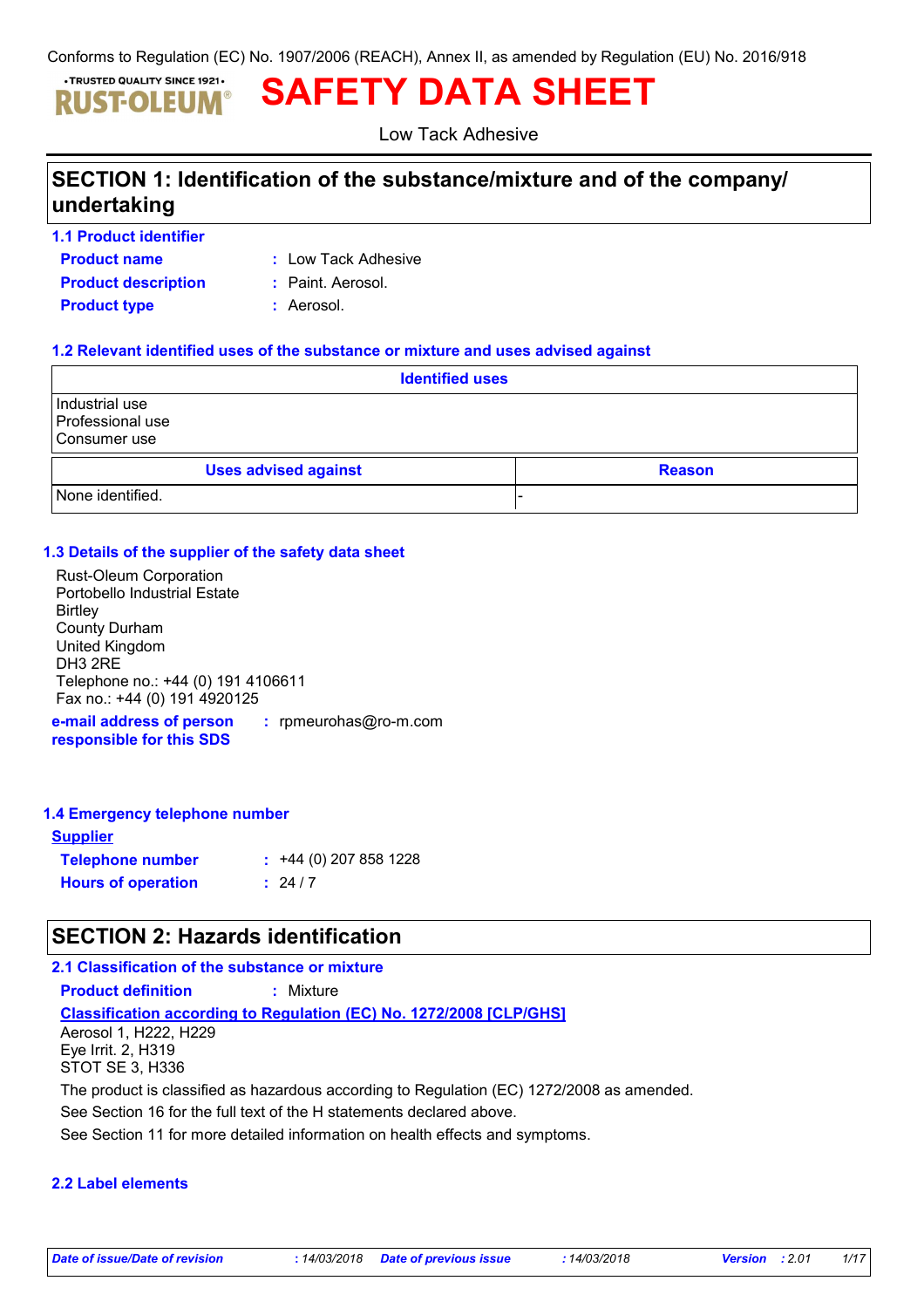Conforms to Regulation (EC) No. 1907/2006 (REACH), Annex II, as amended by Regulation (EU) No. 2016/918

#### . TRUSTED QUALITY SINCE 1921. **SAFETY DATA SHEET** ISTOLEUM

Low Tack Adhesive

# **SECTION 1: Identification of the substance/mixture and of the company/ undertaking**

- **Product name 1.1 Product identifier**
- **:** Low Tack Adhesive
- **Product type :** Aerosol. **Product description :** Paint. Aerosol.
	-
	-

### **1.2 Relevant identified uses of the substance or mixture and uses advised against**

| <b>Identified uses</b>                             |  |
|----------------------------------------------------|--|
| Industrial use<br>Professional use<br>Consumer use |  |
| <b>Uses advised against</b><br><b>Reason</b>       |  |
| None identified.                                   |  |

### **1.3 Details of the supplier of the safety data sheet**

| <b>Rust-Oleum Corporation</b>                  |
|------------------------------------------------|
| Portobello Industrial Estate                   |
| <b>Birtley</b>                                 |
| <b>County Durham</b>                           |
| United Kingdom                                 |
| DH <sub>3</sub> 2RE                            |
| Telephone no.: +44 (0) 191 4106611             |
| Fax no.: +44 (0) 191 4920125                   |
| a mail adduces af naveau i i sportuglas Osa po |

**e-mail address of person responsible for this SDS :** rpmeurohas@ro-m.com

### **1.4 Emergency telephone number**

| <b>Supplier</b>           |                         |
|---------------------------|-------------------------|
| <b>Telephone number</b>   | $: +44(0)$ 207 858 1228 |
| <b>Hours of operation</b> | : 24/7                  |

### **SECTION 2: Hazards identification**

### **2.1 Classification of the substance or mixture**

**Product definition :** Mixture

**Classification according to Regulation (EC) No. 1272/2008 [CLP/GHS]** Aerosol 1, H222, H229 Eye Irrit. 2, H319

STOT SE 3, H336

The product is classified as hazardous according to Regulation (EC) 1272/2008 as amended.

See Section 16 for the full text of the H statements declared above.

See Section 11 for more detailed information on health effects and symptoms.

### **2.2 Label elements**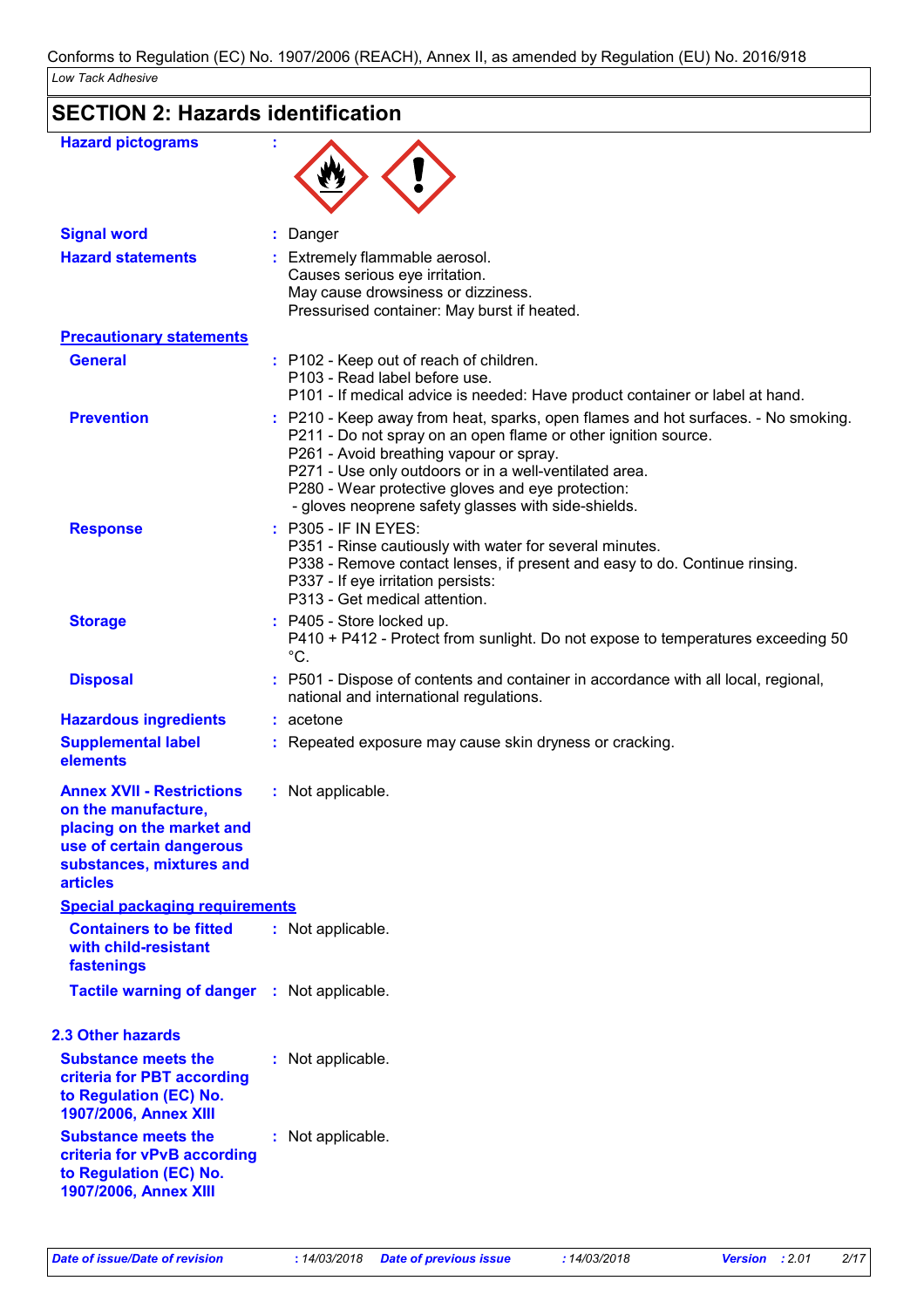# **SECTION 2: Hazards identification**

| <b>Hazard pictograms</b>                                                                                                                                        |                                                                                                                                                                                                                                                                                                                                                                      |
|-----------------------------------------------------------------------------------------------------------------------------------------------------------------|----------------------------------------------------------------------------------------------------------------------------------------------------------------------------------------------------------------------------------------------------------------------------------------------------------------------------------------------------------------------|
| <b>Signal word</b>                                                                                                                                              | Danger                                                                                                                                                                                                                                                                                                                                                               |
| <b>Hazard statements</b>                                                                                                                                        | Extremely flammable aerosol.<br>Causes serious eye irritation.<br>May cause drowsiness or dizziness.<br>Pressurised container: May burst if heated.                                                                                                                                                                                                                  |
| <b>Precautionary statements</b>                                                                                                                                 |                                                                                                                                                                                                                                                                                                                                                                      |
| <b>General</b>                                                                                                                                                  | : P102 - Keep out of reach of children.<br>P103 - Read label before use.<br>P101 - If medical advice is needed: Have product container or label at hand.                                                                                                                                                                                                             |
| <b>Prevention</b>                                                                                                                                               | : P210 - Keep away from heat, sparks, open flames and hot surfaces. - No smoking.<br>P211 - Do not spray on an open flame or other ignition source.<br>P261 - Avoid breathing vapour or spray.<br>P271 - Use only outdoors or in a well-ventilated area.<br>P280 - Wear protective gloves and eye protection:<br>- gloves neoprene safety glasses with side-shields. |
| <b>Response</b>                                                                                                                                                 | : P305 - IF IN EYES:<br>P351 - Rinse cautiously with water for several minutes.<br>P338 - Remove contact lenses, if present and easy to do. Continue rinsing.<br>P337 - If eye irritation persists:<br>P313 - Get medical attention.                                                                                                                                 |
| <b>Storage</b>                                                                                                                                                  | : P405 - Store locked up.<br>P410 + P412 - Protect from sunlight. Do not expose to temperatures exceeding 50<br>$^{\circ}C.$                                                                                                                                                                                                                                         |
| <b>Disposal</b>                                                                                                                                                 | : P501 - Dispose of contents and container in accordance with all local, regional,<br>national and international regulations.                                                                                                                                                                                                                                        |
| <b>Hazardous ingredients</b>                                                                                                                                    | $: a$ cetone                                                                                                                                                                                                                                                                                                                                                         |
| <b>Supplemental label</b><br>elements                                                                                                                           | : Repeated exposure may cause skin dryness or cracking.                                                                                                                                                                                                                                                                                                              |
| <b>Annex XVII - Restrictions</b><br>on the manufacture,<br>placing on the market and<br>use of certain dangerous<br>substances, mixtures and<br><b>articles</b> | : Not applicable.                                                                                                                                                                                                                                                                                                                                                    |
| <b>Special packaging requirements</b>                                                                                                                           |                                                                                                                                                                                                                                                                                                                                                                      |
| <b>Containers to be fitted</b><br>with child-resistant<br>fastenings                                                                                            | : Not applicable.                                                                                                                                                                                                                                                                                                                                                    |
| <b>Tactile warning of danger : Not applicable.</b>                                                                                                              |                                                                                                                                                                                                                                                                                                                                                                      |
| <b>2.3 Other hazards</b>                                                                                                                                        |                                                                                                                                                                                                                                                                                                                                                                      |
| <b>Substance meets the</b><br>criteria for PBT according<br>to Regulation (EC) No.<br>1907/2006, Annex XIII                                                     | : Not applicable.                                                                                                                                                                                                                                                                                                                                                    |
| <b>Substance meets the</b><br>criteria for vPvB according<br>to Regulation (EC) No.<br>1907/2006, Annex XIII                                                    | : Not applicable.                                                                                                                                                                                                                                                                                                                                                    |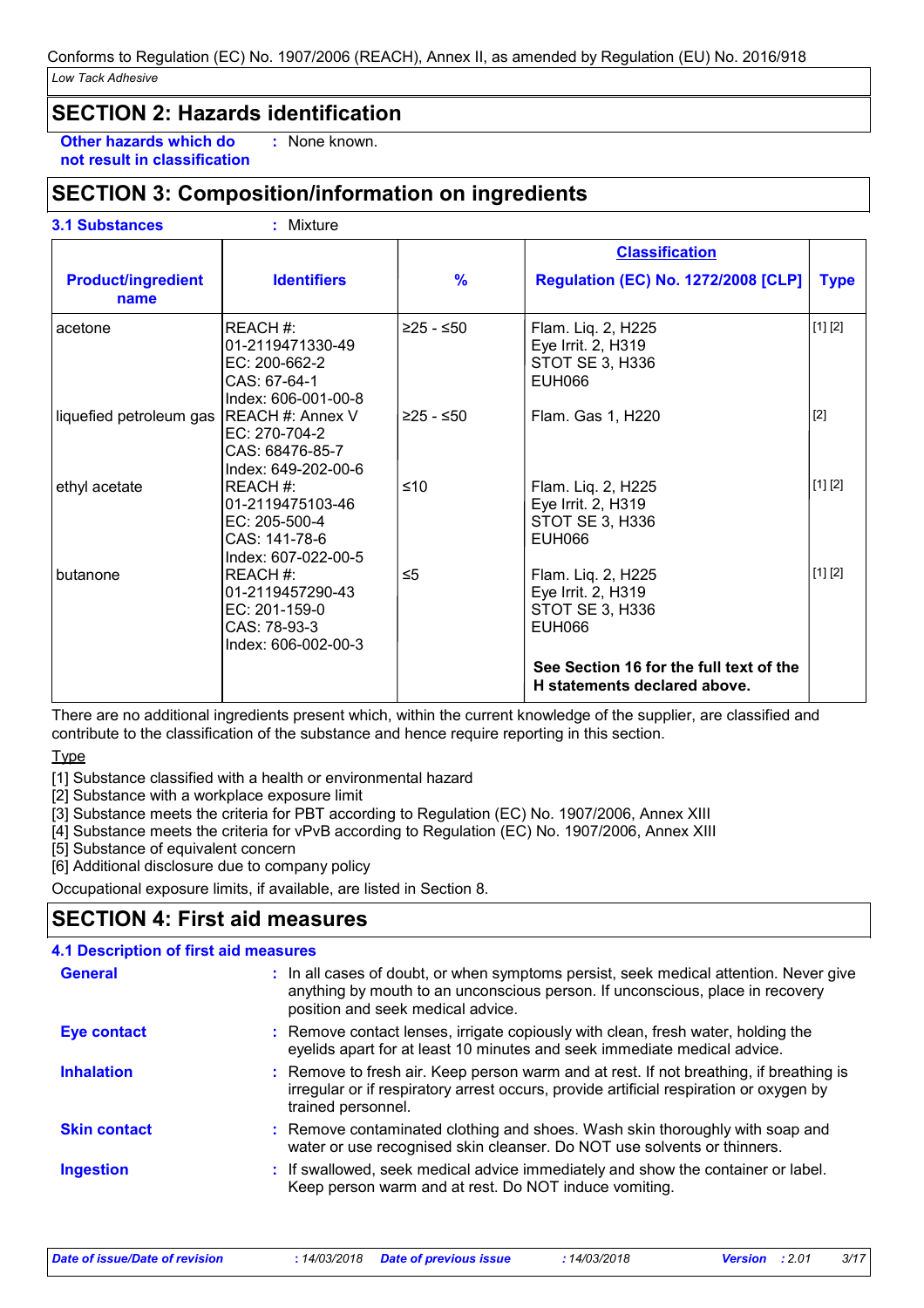### **SECTION 2: Hazards identification**

**Other hazards which do :** : None known.

**not result in classification**

### **SECTION 3: Composition/information on ingredients**

**3.1 Substances :** Mixture

|                                   |                                                                                       |               | <b>Classification</b>                                                        |             |
|-----------------------------------|---------------------------------------------------------------------------------------|---------------|------------------------------------------------------------------------------|-------------|
| <b>Product/ingredient</b><br>name | <b>Identifiers</b>                                                                    | $\frac{9}{6}$ | <b>Regulation (EC) No. 1272/2008 [CLP]</b>                                   | <b>Type</b> |
| acetone                           | REACH #:<br>l01-2119471330-49<br>EC: 200-662-2<br>CAS: 67-64-1<br>Index: 606-001-00-8 | ≥25 - ≤50     | Flam. Liq. 2, H225<br>Eye Irrit. 2, H319<br>STOT SE 3, H336<br><b>EUH066</b> | [1] [2]     |
| liquefied petroleum gas           | <b>REACH #: Annex V</b><br>EC: 270-704-2<br>CAS: 68476-85-7<br>Index: 649-202-00-6    | $≥25 - ≤50$   | Flam. Gas 1, H220                                                            | $[2]$       |
| ethyl acetate                     | REACH#:<br>01-2119475103-46<br>EC: 205-500-4<br>CAS: 141-78-6<br>Index: 607-022-00-5  | ≤10           | Flam. Liq. 2, H225<br>Eye Irrit. 2, H319<br>STOT SE 3, H336<br>EUH066        | [1] [2]     |
| butanone                          | REACH #:<br>01-2119457290-43<br>EC: 201-159-0<br>CAS: 78-93-3<br>Index: 606-002-00-3  | $\leq 5$      | Flam. Liq. 2, H225<br>Eye Irrit. 2, H319<br>STOT SE 3, H336<br><b>EUH066</b> | [1] [2]     |
|                                   |                                                                                       |               | See Section 16 for the full text of the<br>H statements declared above.      |             |

There are no additional ingredients present which, within the current knowledge of the supplier, are classified and contribute to the classification of the substance and hence require reporting in this section.

**Type** 

[1] Substance classified with a health or environmental hazard

[2] Substance with a workplace exposure limit

[3] Substance meets the criteria for PBT according to Regulation (EC) No. 1907/2006, Annex XIII

[4] Substance meets the criteria for vPvB according to Regulation (EC) No. 1907/2006, Annex XIII

[5] Substance of equivalent concern

[6] Additional disclosure due to company policy

Occupational exposure limits, if available, are listed in Section 8.

### **SECTION 4: First aid measures**

| <b>4.1 Description of first aid measures</b> |                                                                                                                                                                                                             |
|----------------------------------------------|-------------------------------------------------------------------------------------------------------------------------------------------------------------------------------------------------------------|
| <b>General</b>                               | : In all cases of doubt, or when symptoms persist, seek medical attention. Never give<br>anything by mouth to an unconscious person. If unconscious, place in recovery<br>position and seek medical advice. |
| Eye contact                                  | : Remove contact lenses, irrigate copiously with clean, fresh water, holding the<br>eyelids apart for at least 10 minutes and seek immediate medical advice.                                                |
| <b>Inhalation</b>                            | : Remove to fresh air. Keep person warm and at rest. If not breathing, if breathing is<br>irregular or if respiratory arrest occurs, provide artificial respiration or oxygen by<br>trained personnel.      |
| <b>Skin contact</b>                          | : Remove contaminated clothing and shoes. Wash skin thoroughly with soap and<br>water or use recognised skin cleanser. Do NOT use solvents or thinners.                                                     |
| <b>Ingestion</b>                             | : If swallowed, seek medical advice immediately and show the container or label.<br>Keep person warm and at rest. Do NOT induce vomiting.                                                                   |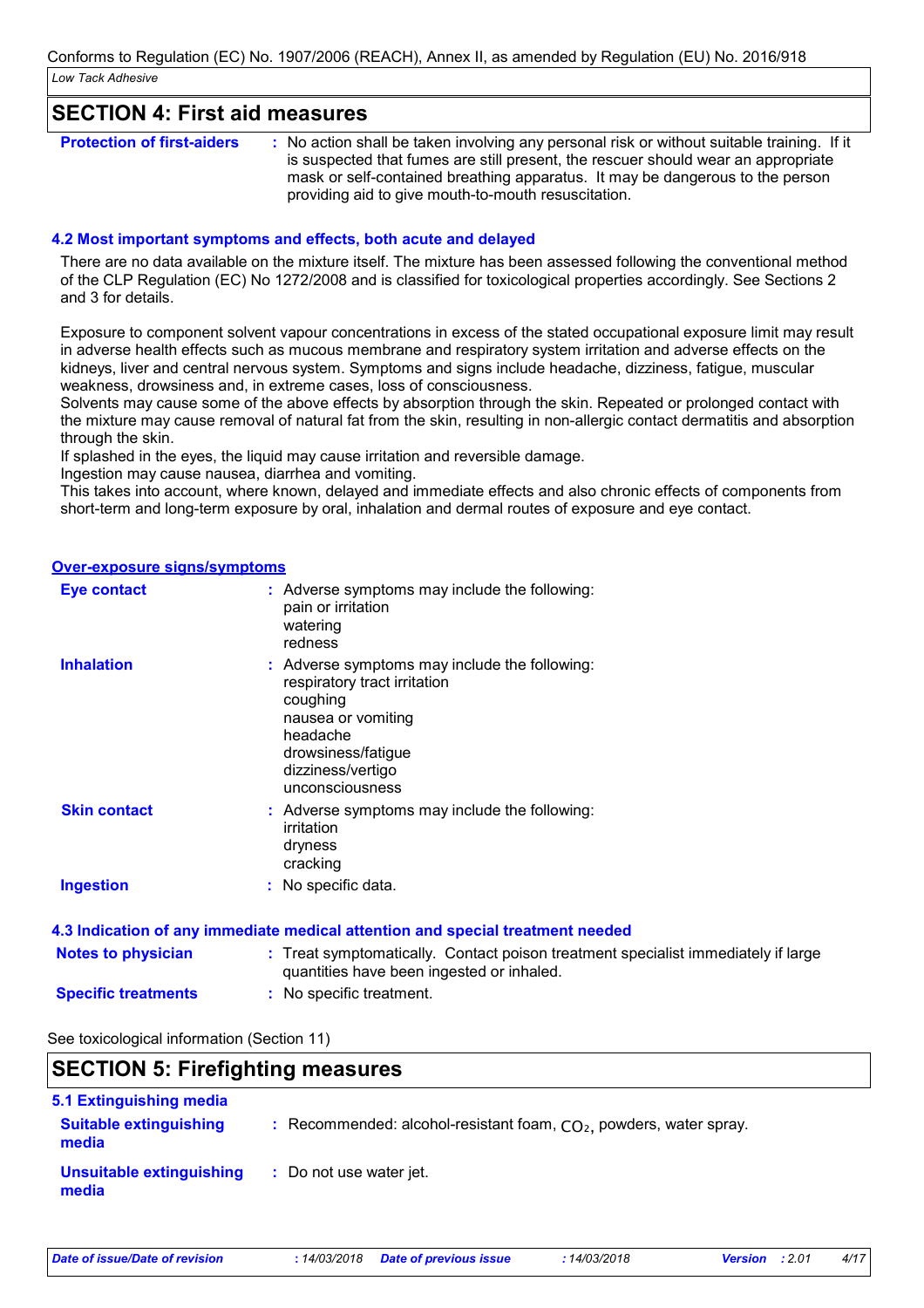### **SECTION 4: First aid measures**

| <b>Protection of first-aiders</b> | : No action shall be taken involving any personal risk or without suitable training. If it |
|-----------------------------------|--------------------------------------------------------------------------------------------|
|                                   | is suspected that fumes are still present, the rescuer should wear an appropriate          |
|                                   | mask or self-contained breathing apparatus. It may be dangerous to the person              |
|                                   | providing aid to give mouth-to-mouth resuscitation.                                        |

#### **4.2 Most important symptoms and effects, both acute and delayed**

There are no data available on the mixture itself. The mixture has been assessed following the conventional method of the CLP Regulation (EC) No 1272/2008 and is classified for toxicological properties accordingly. See Sections 2 and 3 for details.

Exposure to component solvent vapour concentrations in excess of the stated occupational exposure limit may result in adverse health effects such as mucous membrane and respiratory system irritation and adverse effects on the kidneys, liver and central nervous system. Symptoms and signs include headache, dizziness, fatigue, muscular weakness, drowsiness and, in extreme cases, loss of consciousness.

Solvents may cause some of the above effects by absorption through the skin. Repeated or prolonged contact with the mixture may cause removal of natural fat from the skin, resulting in non-allergic contact dermatitis and absorption through the skin.

If splashed in the eyes, the liquid may cause irritation and reversible damage.

Ingestion may cause nausea, diarrhea and vomiting.

This takes into account, where known, delayed and immediate effects and also chronic effects of components from short-term and long-term exposure by oral, inhalation and dermal routes of exposure and eye contact.

#### **Over-exposure signs/symptoms**

| <b>Eye contact</b>  | : Adverse symptoms may include the following:<br>pain or irritation<br>watering<br>redness                                                                                                |
|---------------------|-------------------------------------------------------------------------------------------------------------------------------------------------------------------------------------------|
| <b>Inhalation</b>   | : Adverse symptoms may include the following:<br>respiratory tract irritation<br>coughing<br>nausea or vomiting<br>headache<br>drowsiness/fatigue<br>dizziness/vertigo<br>unconsciousness |
| <b>Skin contact</b> | : Adverse symptoms may include the following:<br>irritation<br>dryness<br>cracking                                                                                                        |
| <b>Ingestion</b>    | : No specific data.                                                                                                                                                                       |
|                     | 4.3 Indication of any immediate medical attention and special treatment needed                                                                                                            |

| <b>Notes to physician</b>  | : Treat symptomatically. Contact poison treatment specialist immediately if large<br>quantities have been ingested or inhaled. |
|----------------------------|--------------------------------------------------------------------------------------------------------------------------------|
| <b>Specific treatments</b> | : No specific treatment.                                                                                                       |

#### See toxicological information (Section 11)

|                                        | <b>SECTION 5: Firefighting measures</b>                              |  |
|----------------------------------------|----------------------------------------------------------------------|--|
| <b>5.1 Extinguishing media</b>         |                                                                      |  |
| <b>Suitable extinguishing</b><br>media | : Recommended: alcohol-resistant foam, $CO2$ , powders, water spray. |  |
| Unsuitable extinguishing<br>media      | : Do not use water jet.                                              |  |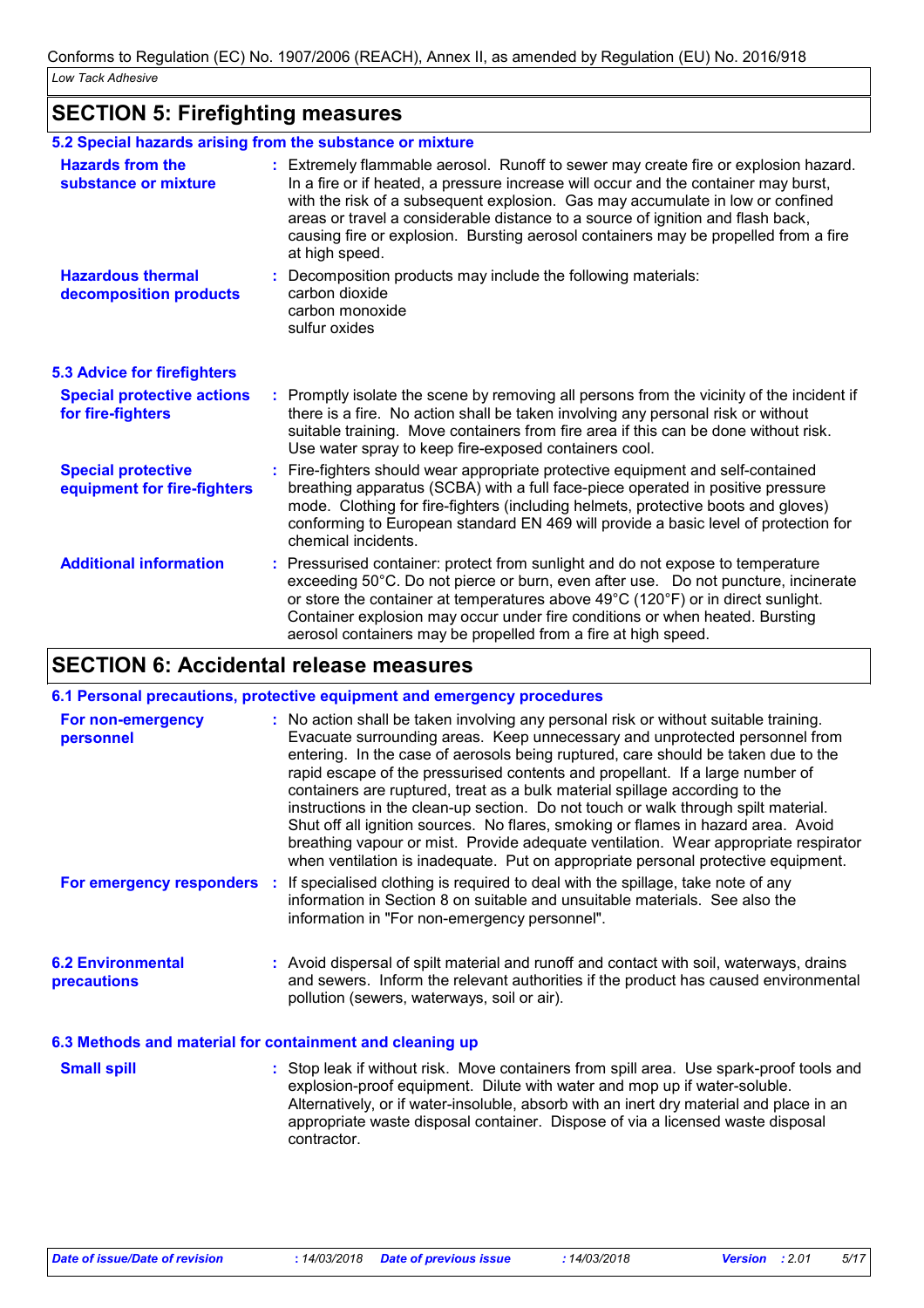# **SECTION 5: Firefighting measures**

|                                                          | 5.2 Special hazards arising from the substance or mixture                                                                                                                                                                                                                                                                                                                                                                                                |
|----------------------------------------------------------|----------------------------------------------------------------------------------------------------------------------------------------------------------------------------------------------------------------------------------------------------------------------------------------------------------------------------------------------------------------------------------------------------------------------------------------------------------|
| <b>Hazards from the</b><br>substance or mixture          | : Extremely flammable aerosol. Runoff to sewer may create fire or explosion hazard.<br>In a fire or if heated, a pressure increase will occur and the container may burst,<br>with the risk of a subsequent explosion. Gas may accumulate in low or confined<br>areas or travel a considerable distance to a source of ignition and flash back,<br>causing fire or explosion. Bursting aerosol containers may be propelled from a fire<br>at high speed. |
| <b>Hazardous thermal</b><br>decomposition products       | Decomposition products may include the following materials:<br>carbon dioxide<br>carbon monoxide<br>sulfur oxides                                                                                                                                                                                                                                                                                                                                        |
| <b>5.3 Advice for firefighters</b>                       |                                                                                                                                                                                                                                                                                                                                                                                                                                                          |
| <b>Special protective actions</b><br>for fire-fighters   | : Promptly isolate the scene by removing all persons from the vicinity of the incident if<br>there is a fire. No action shall be taken involving any personal risk or without<br>suitable training. Move containers from fire area if this can be done without risk.<br>Use water spray to keep fire-exposed containers cool.                                                                                                                            |
| <b>Special protective</b><br>equipment for fire-fighters | : Fire-fighters should wear appropriate protective equipment and self-contained<br>breathing apparatus (SCBA) with a full face-piece operated in positive pressure<br>mode. Clothing for fire-fighters (including helmets, protective boots and gloves)<br>conforming to European standard EN 469 will provide a basic level of protection for<br>chemical incidents.                                                                                    |
| <b>Additional information</b>                            | : Pressurised container: protect from sunlight and do not expose to temperature<br>exceeding 50°C. Do not pierce or burn, even after use.  Do not puncture, incinerate<br>or store the container at temperatures above 49°C (120°F) or in direct sunlight.<br>Container explosion may occur under fire conditions or when heated. Bursting<br>aerosol containers may be propelled from a fire at high speed.                                             |

# **SECTION 6: Accidental release measures**

|                                         | 6.1 Personal precautions, protective equipment and emergency procedures                                                                                                                                                                                                                                                                                                                                                                                                                                                                                                                                                                                                                                                                                                         |
|-----------------------------------------|---------------------------------------------------------------------------------------------------------------------------------------------------------------------------------------------------------------------------------------------------------------------------------------------------------------------------------------------------------------------------------------------------------------------------------------------------------------------------------------------------------------------------------------------------------------------------------------------------------------------------------------------------------------------------------------------------------------------------------------------------------------------------------|
| For non-emergency<br>personnel          | : No action shall be taken involving any personal risk or without suitable training.<br>Evacuate surrounding areas. Keep unnecessary and unprotected personnel from<br>entering. In the case of aerosols being ruptured, care should be taken due to the<br>rapid escape of the pressurised contents and propellant. If a large number of<br>containers are ruptured, treat as a bulk material spillage according to the<br>instructions in the clean-up section. Do not touch or walk through spilt material.<br>Shut off all ignition sources. No flares, smoking or flames in hazard area. Avoid<br>breathing vapour or mist. Provide adequate ventilation. Wear appropriate respirator<br>when ventilation is inadequate. Put on appropriate personal protective equipment. |
| For emergency responders :              | If specialised clothing is required to deal with the spillage, take note of any<br>information in Section 8 on suitable and unsuitable materials. See also the<br>information in "For non-emergency personnel".                                                                                                                                                                                                                                                                                                                                                                                                                                                                                                                                                                 |
| <b>6.2 Environmental</b><br>precautions | : Avoid dispersal of spilt material and runoff and contact with soil, waterways, drains<br>and sewers. Inform the relevant authorities if the product has caused environmental<br>pollution (sewers, waterways, soil or air).                                                                                                                                                                                                                                                                                                                                                                                                                                                                                                                                                   |
|                                         | 6.3 Methods and material for containment and cleaning up                                                                                                                                                                                                                                                                                                                                                                                                                                                                                                                                                                                                                                                                                                                        |

| <b>Small spill</b> | : Stop leak if without risk. Move containers from spill area. Use spark-proof tools and<br>explosion-proof equipment. Dilute with water and mop up if water-soluble.<br>Alternatively, or if water-insoluble, absorb with an inert dry material and place in an<br>appropriate waste disposal container. Dispose of via a licensed waste disposal |
|--------------------|---------------------------------------------------------------------------------------------------------------------------------------------------------------------------------------------------------------------------------------------------------------------------------------------------------------------------------------------------|
|                    | contractor.                                                                                                                                                                                                                                                                                                                                       |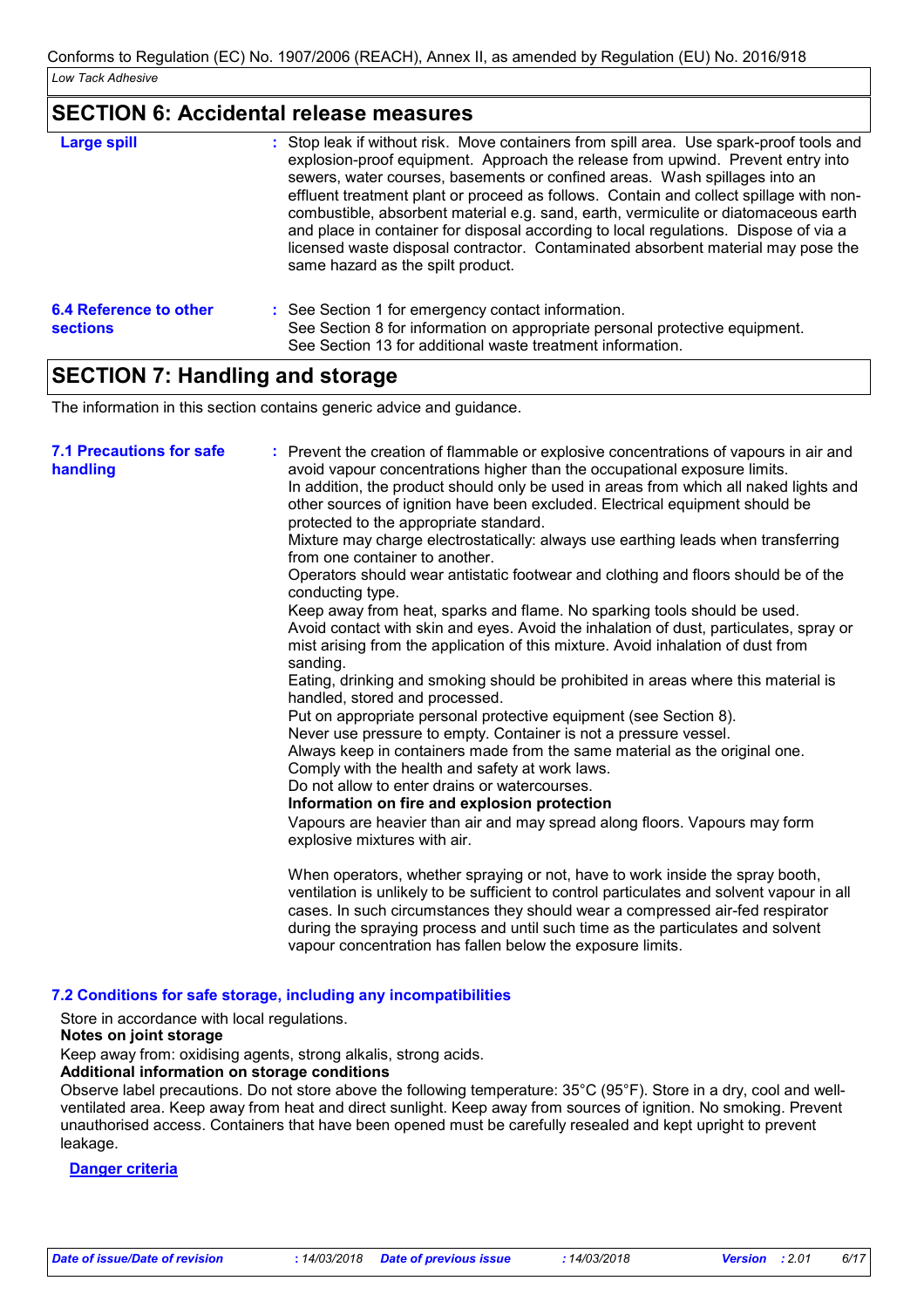### **SECTION 6: Accidental release measures**

| <b>Large spill</b>                        | : Stop leak if without risk. Move containers from spill area. Use spark-proof tools and<br>explosion-proof equipment. Approach the release from upwind. Prevent entry into<br>sewers, water courses, basements or confined areas. Wash spillages into an<br>effluent treatment plant or proceed as follows. Contain and collect spillage with non-<br>combustible, absorbent material e.g. sand, earth, vermiculite or diatomaceous earth<br>and place in container for disposal according to local regulations. Dispose of via a<br>licensed waste disposal contractor. Contaminated absorbent material may pose the<br>same hazard as the spilt product. |
|-------------------------------------------|------------------------------------------------------------------------------------------------------------------------------------------------------------------------------------------------------------------------------------------------------------------------------------------------------------------------------------------------------------------------------------------------------------------------------------------------------------------------------------------------------------------------------------------------------------------------------------------------------------------------------------------------------------|
| 6.4 Reference to other<br><b>sections</b> | : See Section 1 for emergency contact information.<br>See Section 8 for information on appropriate personal protective equipment.<br>See Section 13 for additional waste treatment information.                                                                                                                                                                                                                                                                                                                                                                                                                                                            |

### **SECTION 7: Handling and storage**

The information in this section contains generic advice and guidance.

| <b>7.1 Precautions for safe</b><br>handling | : Prevent the creation of flammable or explosive concentrations of vapours in air and<br>avoid vapour concentrations higher than the occupational exposure limits.<br>In addition, the product should only be used in areas from which all naked lights and<br>other sources of ignition have been excluded. Electrical equipment should be<br>protected to the appropriate standard.<br>Mixture may charge electrostatically: always use earthing leads when transferring<br>from one container to another.<br>Operators should wear antistatic footwear and clothing and floors should be of the<br>conducting type.<br>Keep away from heat, sparks and flame. No sparking tools should be used.<br>Avoid contact with skin and eyes. Avoid the inhalation of dust, particulates, spray or<br>mist arising from the application of this mixture. Avoid inhalation of dust from<br>sanding.<br>Eating, drinking and smoking should be prohibited in areas where this material is<br>handled, stored and processed.<br>Put on appropriate personal protective equipment (see Section 8).<br>Never use pressure to empty. Container is not a pressure vessel.<br>Always keep in containers made from the same material as the original one.<br>Comply with the health and safety at work laws.<br>Do not allow to enter drains or watercourses.<br>Information on fire and explosion protection<br>Vapours are heavier than air and may spread along floors. Vapours may form<br>explosive mixtures with air. |
|---------------------------------------------|--------------------------------------------------------------------------------------------------------------------------------------------------------------------------------------------------------------------------------------------------------------------------------------------------------------------------------------------------------------------------------------------------------------------------------------------------------------------------------------------------------------------------------------------------------------------------------------------------------------------------------------------------------------------------------------------------------------------------------------------------------------------------------------------------------------------------------------------------------------------------------------------------------------------------------------------------------------------------------------------------------------------------------------------------------------------------------------------------------------------------------------------------------------------------------------------------------------------------------------------------------------------------------------------------------------------------------------------------------------------------------------------------------------------------------------------------------------------------------------------------------------|
|                                             | When operators, whether spraying or not, have to work inside the spray booth,<br>ventilation is unlikely to be sufficient to control particulates and solvent vapour in all<br>cases. In such circumstances they should wear a compressed air-fed respirator<br>during the spraying process and until such time as the particulates and solvent<br>vapour concentration has fallen below the exposure limits.                                                                                                                                                                                                                                                                                                                                                                                                                                                                                                                                                                                                                                                                                                                                                                                                                                                                                                                                                                                                                                                                                                |

### **7.2 Conditions for safe storage, including any incompatibilities**

Store in accordance with local regulations.

#### **Notes on joint storage**

Keep away from: oxidising agents, strong alkalis, strong acids.

#### **Additional information on storage conditions**

Observe label precautions. Do not store above the following temperature: 35°C (95°F). Store in a dry, cool and wellventilated area. Keep away from heat and direct sunlight. Keep away from sources of ignition. No smoking. Prevent unauthorised access. Containers that have been opened must be carefully resealed and kept upright to prevent leakage.

#### **Danger criteria**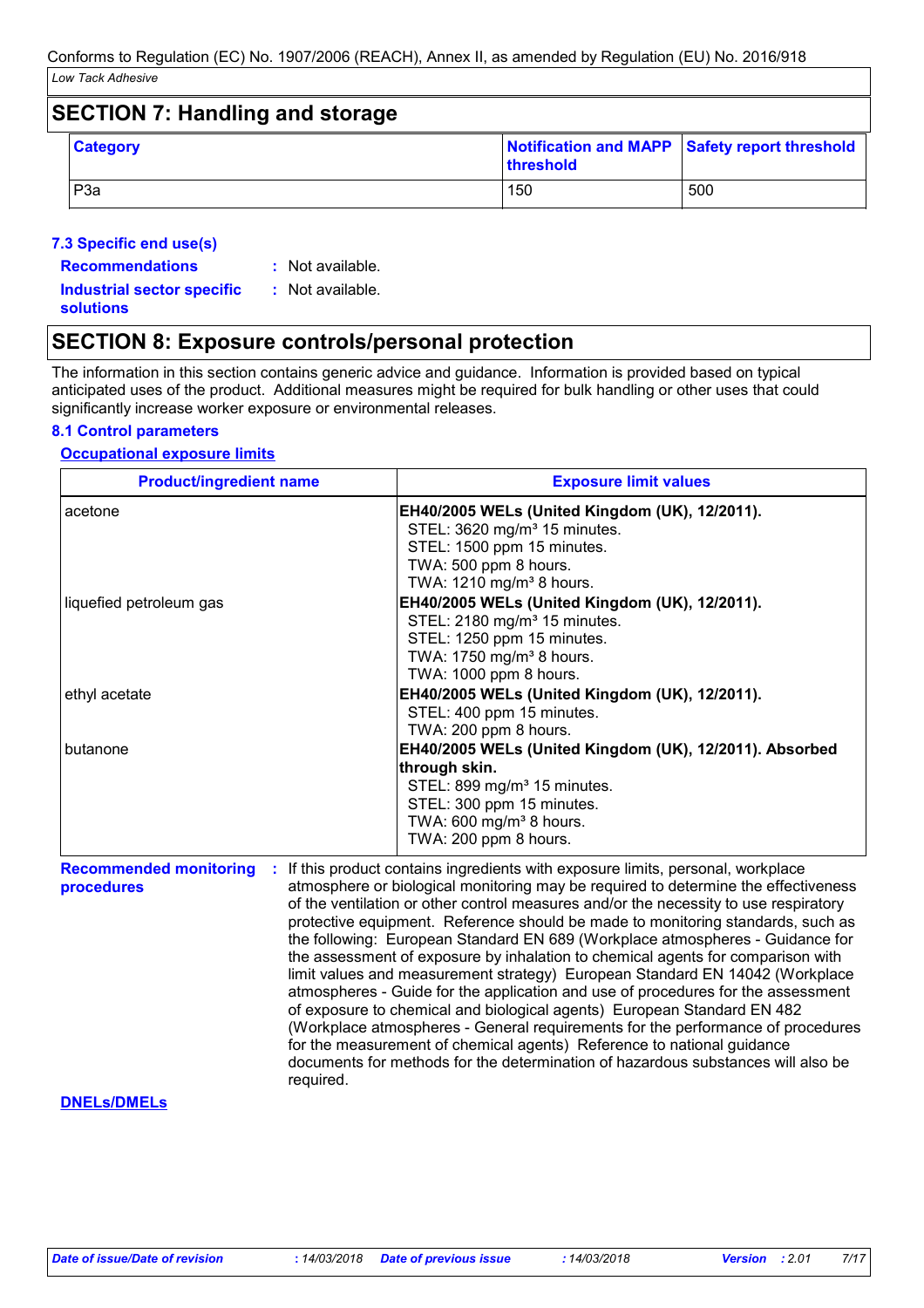| <b>SECTION 7: Handling and storage</b> |                  |           |                                               |  |
|----------------------------------------|------------------|-----------|-----------------------------------------------|--|
|                                        | <b>Category</b>  | threshold | Notification and MAPP Safety report threshold |  |
|                                        | P <sub>3</sub> a | 150       | 500                                           |  |

### **7.3 Specific end use(s)**

- **Recommendations :**
- : Not available.

**Industrial sector specific : solutions**

: Not available.

### **SECTION 8: Exposure controls/personal protection**

The information in this section contains generic advice and guidance. Information is provided based on typical anticipated uses of the product. Additional measures might be required for bulk handling or other uses that could significantly increase worker exposure or environmental releases.

### **8.1 Control parameters**

### **Occupational exposure limits**

| <b>Product/ingredient name</b>              | <b>Exposure limit values</b>                                                                                                                                                                                                                                                                                                                                                                                                                                                                                                                                                                                                                                                                                                                                                                                                                                                                                                                                                                                                     |
|---------------------------------------------|----------------------------------------------------------------------------------------------------------------------------------------------------------------------------------------------------------------------------------------------------------------------------------------------------------------------------------------------------------------------------------------------------------------------------------------------------------------------------------------------------------------------------------------------------------------------------------------------------------------------------------------------------------------------------------------------------------------------------------------------------------------------------------------------------------------------------------------------------------------------------------------------------------------------------------------------------------------------------------------------------------------------------------|
| acetone                                     | EH40/2005 WELs (United Kingdom (UK), 12/2011).<br>STEL: 3620 mg/m <sup>3</sup> 15 minutes.<br>STEL: 1500 ppm 15 minutes.<br>TWA: 500 ppm 8 hours.<br>TWA: 1210 mg/m <sup>3</sup> 8 hours.                                                                                                                                                                                                                                                                                                                                                                                                                                                                                                                                                                                                                                                                                                                                                                                                                                        |
| liquefied petroleum gas                     | EH40/2005 WELs (United Kingdom (UK), 12/2011).<br>STEL: 2180 mg/m <sup>3</sup> 15 minutes.<br>STEL: 1250 ppm 15 minutes.<br>TWA: 1750 mg/m <sup>3</sup> 8 hours.<br>TWA: 1000 ppm 8 hours.                                                                                                                                                                                                                                                                                                                                                                                                                                                                                                                                                                                                                                                                                                                                                                                                                                       |
| ethyl acetate                               | EH40/2005 WELs (United Kingdom (UK), 12/2011).<br>STEL: 400 ppm 15 minutes.<br>TWA: 200 ppm 8 hours.                                                                                                                                                                                                                                                                                                                                                                                                                                                                                                                                                                                                                                                                                                                                                                                                                                                                                                                             |
| butanone                                    | EH40/2005 WELs (United Kingdom (UK), 12/2011). Absorbed<br>through skin.<br>STEL: 899 mg/m <sup>3</sup> 15 minutes.<br>STEL: 300 ppm 15 minutes.<br>TWA: 600 mg/m <sup>3</sup> 8 hours.<br>TWA: 200 ppm 8 hours.                                                                                                                                                                                                                                                                                                                                                                                                                                                                                                                                                                                                                                                                                                                                                                                                                 |
| <b>Recommended monitoring</b><br>procedures | If this product contains ingredients with exposure limits, personal, workplace<br>atmosphere or biological monitoring may be required to determine the effectiveness<br>of the ventilation or other control measures and/or the necessity to use respiratory<br>protective equipment. Reference should be made to monitoring standards, such as<br>the following: European Standard EN 689 (Workplace atmospheres - Guidance for<br>the assessment of exposure by inhalation to chemical agents for comparison with<br>limit values and measurement strategy) European Standard EN 14042 (Workplace<br>atmospheres - Guide for the application and use of procedures for the assessment<br>of exposure to chemical and biological agents) European Standard EN 482<br>(Workplace atmospheres - General requirements for the performance of procedures<br>for the measurement of chemical agents) Reference to national guidance<br>documents for methods for the determination of hazardous substances will also be<br>required. |

#### **DNELs/DMELs**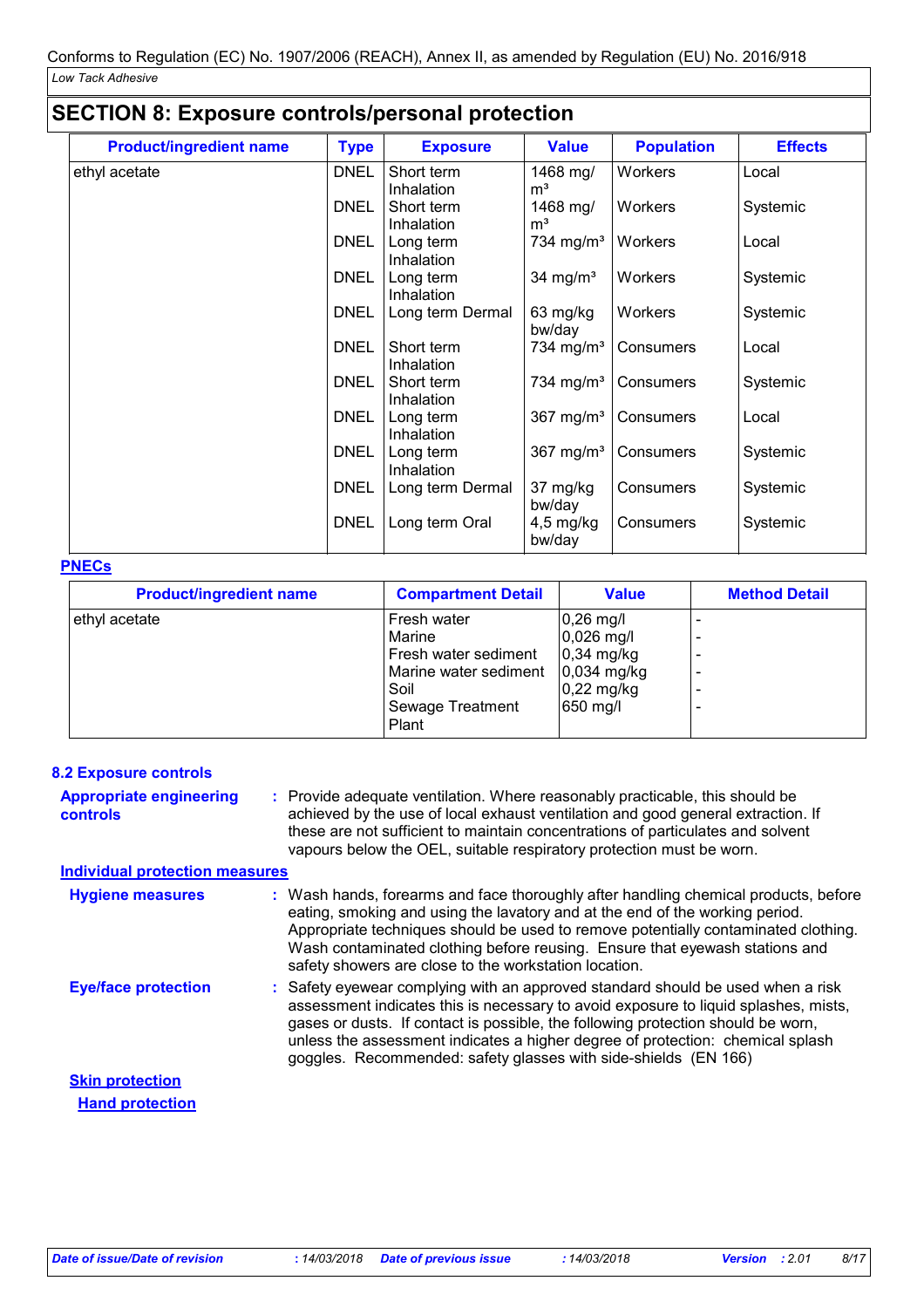| <b>SECTION 8: Exposure controls/personal protection</b> |             |                                |                            |                   |                |
|---------------------------------------------------------|-------------|--------------------------------|----------------------------|-------------------|----------------|
| <b>Product/ingredient name</b>                          | <b>Type</b> | <b>Exposure</b>                | <b>Value</b>               | <b>Population</b> | <b>Effects</b> |
| ethyl acetate                                           | <b>DNEL</b> | Short term<br>Inhalation       | 1468 mg/<br>m <sup>3</sup> | Workers           | Local          |
|                                                         | <b>DNEL</b> | Short term<br>Inhalation       | 1468 mg/<br>m <sup>3</sup> | Workers           | Systemic       |
|                                                         | <b>DNEL</b> | Long term<br>Inhalation        | 734 mg/m <sup>3</sup>      | Workers           | Local          |
|                                                         | <b>DNEL</b> | Long term<br>Inhalation        | 34 mg/ $m3$                | Workers           | Systemic       |
|                                                         | <b>DNEL</b> | Long term Dermal               | 63 mg/kg<br>bw/day         | Workers           | Systemic       |
|                                                         | <b>DNEL</b> | Short term<br>Inhalation       | 734 mg/m <sup>3</sup>      | Consumers         | Local          |
|                                                         | <b>DNEL</b> | Short term<br>Inhalation       | 734 mg/m <sup>3</sup>      | Consumers         | Systemic       |
|                                                         | <b>DNEL</b> | Long term<br><b>Inhalation</b> | $367 \text{ mg/m}^3$       | Consumers         | Local          |
|                                                         | <b>DNEL</b> | Long term<br>Inhalation        | 367 mg/ $m3$               | Consumers         | Systemic       |
|                                                         | <b>DNEL</b> | Long term Dermal               | 37 mg/kg<br>bw/day         | Consumers         | Systemic       |
|                                                         | <b>DNEL</b> | Long term Oral                 | $4,5$ mg/kg<br>bw/day      | Consumers         | Systemic       |

### **PNECs**

| <b>Product/ingredient name</b> | <b>Compartment Detail</b> | <b>Value</b>         | <b>Method Detail</b> |
|--------------------------------|---------------------------|----------------------|----------------------|
| ethyl acetate                  | Fresh water               | $0,26$ mg/l          |                      |
|                                | Marine                    | $0,026$ mg/l         |                      |
|                                | Fresh water sediment      | $0,34$ mg/kg         |                      |
|                                | Marine water sediment     | $0,034$ mg/kg        |                      |
|                                | Soil                      | $0,22 \text{ mg/kg}$ |                      |
|                                | Sewage Treatment          | 650 mg/l             |                      |
|                                | Plant                     |                      |                      |

| <b>8.2 Exposure controls</b>                      |                                                                                                                                                                                                                                                                                                                                                                                                                 |
|---------------------------------------------------|-----------------------------------------------------------------------------------------------------------------------------------------------------------------------------------------------------------------------------------------------------------------------------------------------------------------------------------------------------------------------------------------------------------------|
| <b>Appropriate engineering</b><br><b>controls</b> | : Provide adequate ventilation. Where reasonably practicable, this should be<br>achieved by the use of local exhaust ventilation and good general extraction. If<br>these are not sufficient to maintain concentrations of particulates and solvent<br>vapours below the OEL, suitable respiratory protection must be worn.                                                                                     |
| <b>Individual protection measures</b>             |                                                                                                                                                                                                                                                                                                                                                                                                                 |
| <b>Hygiene measures</b>                           | : Wash hands, forearms and face thoroughly after handling chemical products, before<br>eating, smoking and using the lavatory and at the end of the working period.<br>Appropriate techniques should be used to remove potentially contaminated clothing.<br>Wash contaminated clothing before reusing. Ensure that eyewash stations and<br>safety showers are close to the workstation location.               |
| <b>Eye/face protection</b>                        | : Safety eyewear complying with an approved standard should be used when a risk<br>assessment indicates this is necessary to avoid exposure to liquid splashes, mists,<br>gases or dusts. If contact is possible, the following protection should be worn,<br>unless the assessment indicates a higher degree of protection: chemical splash<br>goggles. Recommended: safety glasses with side-shields (EN 166) |
| <b>Skin protection</b>                            |                                                                                                                                                                                                                                                                                                                                                                                                                 |
| <b>Hand protection</b>                            |                                                                                                                                                                                                                                                                                                                                                                                                                 |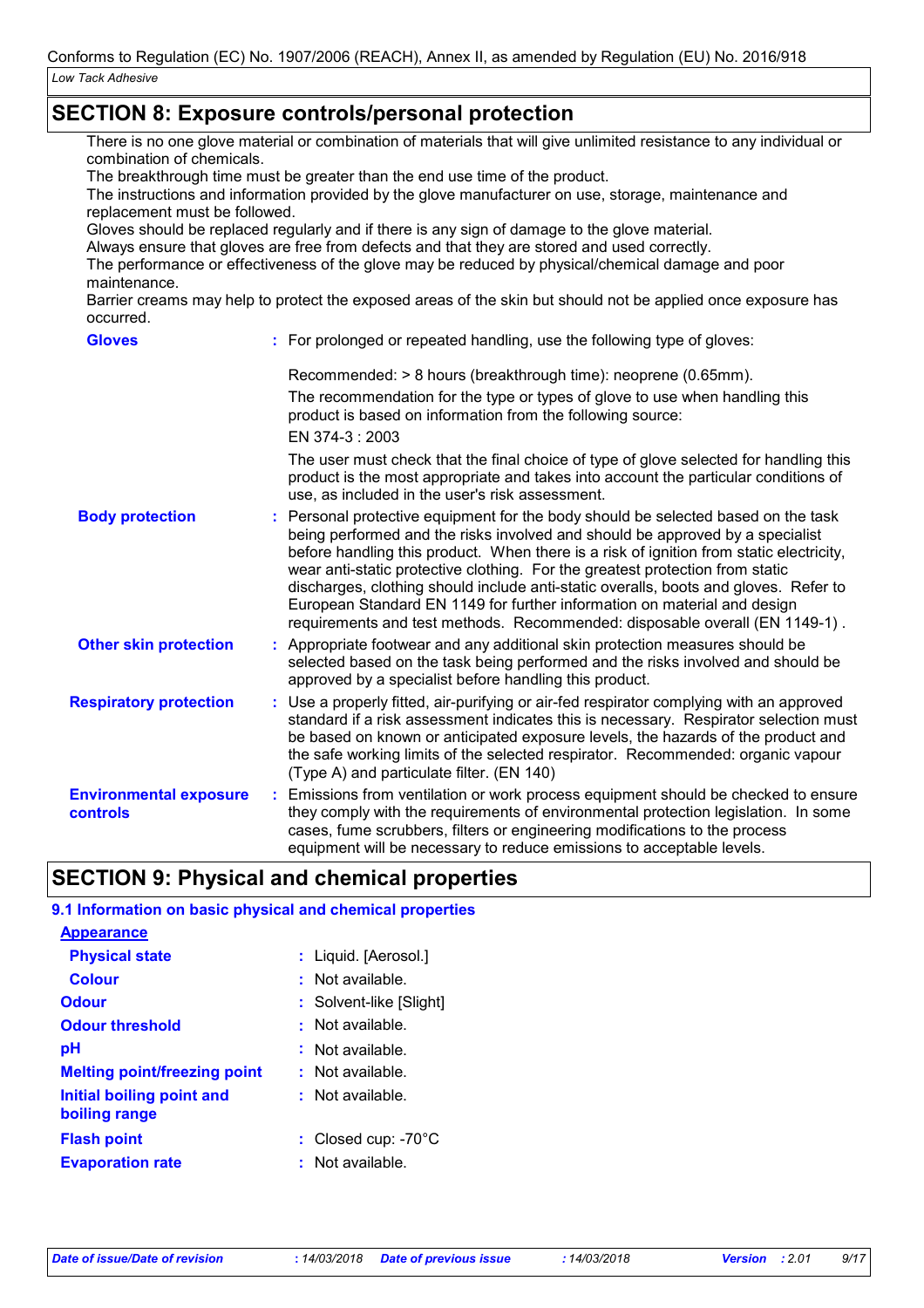### **SECTION 8: Exposure controls/personal protection**

There is no one glove material or combination of materials that will give unlimited resistance to any individual or combination of chemicals.

The breakthrough time must be greater than the end use time of the product.

The instructions and information provided by the glove manufacturer on use, storage, maintenance and replacement must be followed.

Gloves should be replaced regularly and if there is any sign of damage to the glove material.

Always ensure that gloves are free from defects and that they are stored and used correctly.

The performance or effectiveness of the glove may be reduced by physical/chemical damage and poor maintenance.

Barrier creams may help to protect the exposed areas of the skin but should not be applied once exposure has occurred.

| <b>Gloves</b>                                    | : For prolonged or repeated handling, use the following type of gloves:                                                                                                                                                                                                                                                                                                                                                                                                                                                                                                                           |
|--------------------------------------------------|---------------------------------------------------------------------------------------------------------------------------------------------------------------------------------------------------------------------------------------------------------------------------------------------------------------------------------------------------------------------------------------------------------------------------------------------------------------------------------------------------------------------------------------------------------------------------------------------------|
|                                                  | Recommended: > 8 hours (breakthrough time): neoprene (0.65mm).                                                                                                                                                                                                                                                                                                                                                                                                                                                                                                                                    |
|                                                  | The recommendation for the type or types of glove to use when handling this<br>product is based on information from the following source:                                                                                                                                                                                                                                                                                                                                                                                                                                                         |
|                                                  | EN 374-3: 2003                                                                                                                                                                                                                                                                                                                                                                                                                                                                                                                                                                                    |
|                                                  | The user must check that the final choice of type of glove selected for handling this<br>product is the most appropriate and takes into account the particular conditions of<br>use, as included in the user's risk assessment.                                                                                                                                                                                                                                                                                                                                                                   |
| <b>Body protection</b>                           | : Personal protective equipment for the body should be selected based on the task<br>being performed and the risks involved and should be approved by a specialist<br>before handling this product. When there is a risk of ignition from static electricity,<br>wear anti-static protective clothing. For the greatest protection from static<br>discharges, clothing should include anti-static overalls, boots and gloves. Refer to<br>European Standard EN 1149 for further information on material and design<br>requirements and test methods. Recommended: disposable overall (EN 1149-1). |
| <b>Other skin protection</b>                     | : Appropriate footwear and any additional skin protection measures should be<br>selected based on the task being performed and the risks involved and should be<br>approved by a specialist before handling this product.                                                                                                                                                                                                                                                                                                                                                                         |
| <b>Respiratory protection</b>                    | : Use a properly fitted, air-purifying or air-fed respirator complying with an approved<br>standard if a risk assessment indicates this is necessary. Respirator selection must<br>be based on known or anticipated exposure levels, the hazards of the product and<br>the safe working limits of the selected respirator. Recommended: organic vapour<br>(Type A) and particulate filter. (EN 140)                                                                                                                                                                                               |
| <b>Environmental exposure</b><br><b>controls</b> | : Emissions from ventilation or work process equipment should be checked to ensure<br>they comply with the requirements of environmental protection legislation. In some<br>cases, fume scrubbers, filters or engineering modifications to the process<br>equipment will be necessary to reduce emissions to acceptable levels.                                                                                                                                                                                                                                                                   |

## **SECTION 9: Physical and chemical properties**

| 9.1 Information on basic physical and chemical properties |                               |
|-----------------------------------------------------------|-------------------------------|
| <b>Appearance</b>                                         |                               |
| <b>Physical state</b>                                     | : Liquid. [Aerosol.]          |
| <b>Colour</b>                                             | $:$ Not available.            |
| <b>Odour</b>                                              | : Solvent-like [Slight]       |
| <b>Odour threshold</b>                                    | : Not available.              |
| рH                                                        | : Not available.              |
| <b>Melting point/freezing point</b>                       | : Not available.              |
| Initial boiling point and<br>boiling range                | : Not available.              |
| <b>Flash point</b>                                        | : Closed cup: $-70^{\circ}$ C |
| <b>Evaporation rate</b>                                   | $:$ Not available.            |
|                                                           |                               |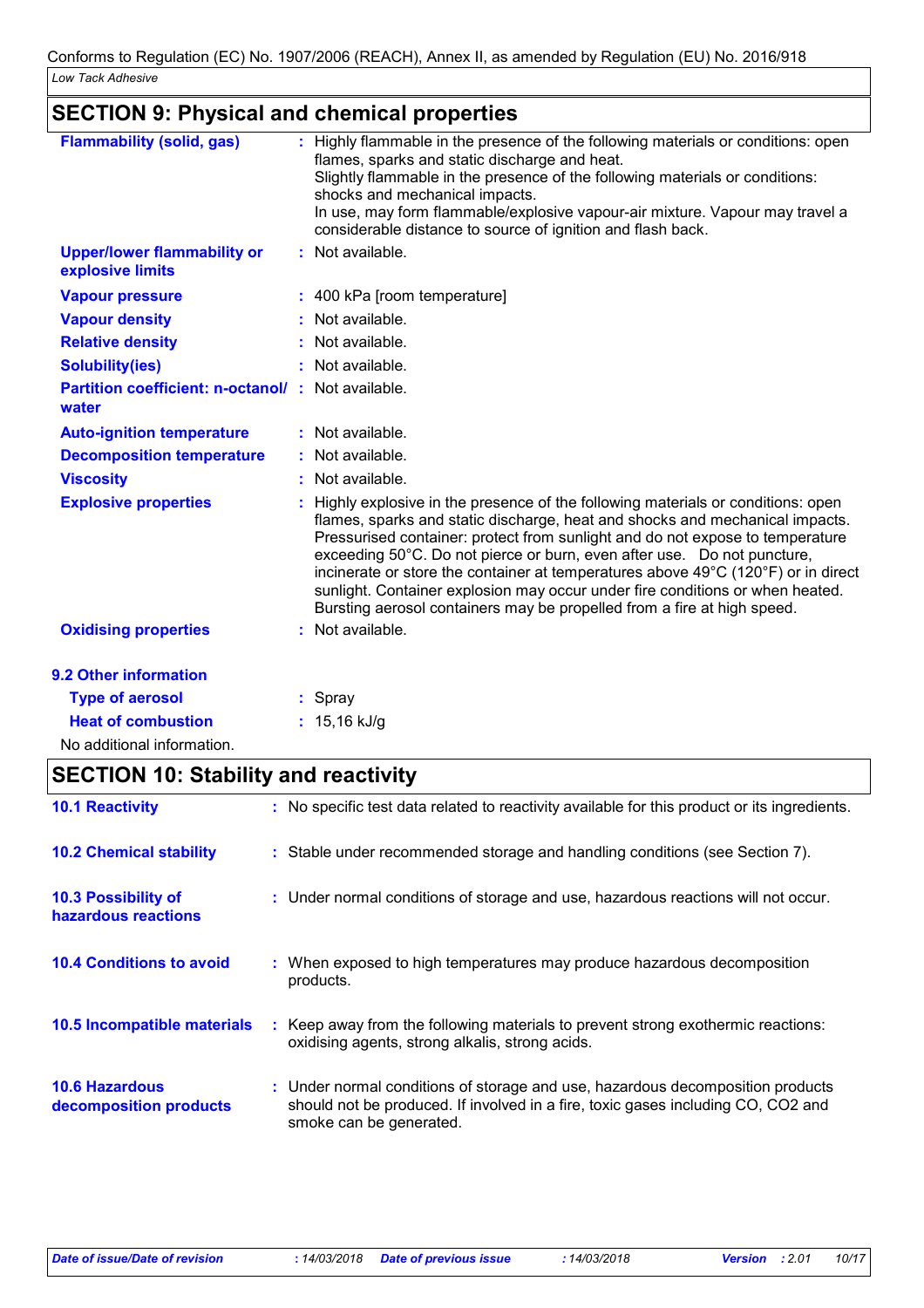# **SECTION 9: Physical and chemical properties**

| <b>Flammability (solid, gas)</b>                                  | : Highly flammable in the presence of the following materials or conditions: open<br>flames, sparks and static discharge and heat.<br>Slightly flammable in the presence of the following materials or conditions:<br>shocks and mechanical impacts.<br>In use, may form flammable/explosive vapour-air mixture. Vapour may travel a<br>considerable distance to source of ignition and flash back.                                                                                                                                                                          |
|-------------------------------------------------------------------|------------------------------------------------------------------------------------------------------------------------------------------------------------------------------------------------------------------------------------------------------------------------------------------------------------------------------------------------------------------------------------------------------------------------------------------------------------------------------------------------------------------------------------------------------------------------------|
| <b>Upper/lower flammability or</b><br>explosive limits            | : Not available.                                                                                                                                                                                                                                                                                                                                                                                                                                                                                                                                                             |
| <b>Vapour pressure</b>                                            | : 400 kPa [room temperature]                                                                                                                                                                                                                                                                                                                                                                                                                                                                                                                                                 |
| <b>Vapour density</b>                                             | : Not available.                                                                                                                                                                                                                                                                                                                                                                                                                                                                                                                                                             |
| <b>Relative density</b>                                           | : Not available.                                                                                                                                                                                                                                                                                                                                                                                                                                                                                                                                                             |
| <b>Solubility(ies)</b>                                            | : Not available.                                                                                                                                                                                                                                                                                                                                                                                                                                                                                                                                                             |
| <b>Partition coefficient: n-octanol/: Not available.</b><br>water |                                                                                                                                                                                                                                                                                                                                                                                                                                                                                                                                                                              |
| <b>Auto-ignition temperature</b>                                  | : Not available.                                                                                                                                                                                                                                                                                                                                                                                                                                                                                                                                                             |
| <b>Decomposition temperature</b>                                  | : Not available.                                                                                                                                                                                                                                                                                                                                                                                                                                                                                                                                                             |
| <b>Viscosity</b>                                                  | : Not available.                                                                                                                                                                                                                                                                                                                                                                                                                                                                                                                                                             |
| <b>Explosive properties</b>                                       | Highly explosive in the presence of the following materials or conditions: open<br>flames, sparks and static discharge, heat and shocks and mechanical impacts.<br>Pressurised container: protect from sunlight and do not expose to temperature<br>exceeding 50°C. Do not pierce or burn, even after use. Do not puncture,<br>incinerate or store the container at temperatures above 49°C (120°F) or in direct<br>sunlight. Container explosion may occur under fire conditions or when heated.<br>Bursting aerosol containers may be propelled from a fire at high speed. |
| <b>Oxidising properties</b>                                       | : Not available.                                                                                                                                                                                                                                                                                                                                                                                                                                                                                                                                                             |
| <b>9.2 Other information</b>                                      |                                                                                                                                                                                                                                                                                                                                                                                                                                                                                                                                                                              |
| <b>Type of aerosol</b>                                            | : Spray                                                                                                                                                                                                                                                                                                                                                                                                                                                                                                                                                                      |
| <b>Heat of combustion</b>                                         | : $15,16$ kJ/g                                                                                                                                                                                                                                                                                                                                                                                                                                                                                                                                                               |

No additional information.

## **SECTION 10: Stability and reactivity**

| <b>10.1 Reactivity</b>                          | : No specific test data related to reactivity available for this product or its ingredients.                                                                                                  |
|-------------------------------------------------|-----------------------------------------------------------------------------------------------------------------------------------------------------------------------------------------------|
| <b>10.2 Chemical stability</b>                  | : Stable under recommended storage and handling conditions (see Section 7).                                                                                                                   |
| 10.3 Possibility of<br>hazardous reactions      | : Under normal conditions of storage and use, hazardous reactions will not occur.                                                                                                             |
| <b>10.4 Conditions to avoid</b>                 | : When exposed to high temperatures may produce hazardous decomposition<br>products.                                                                                                          |
| <b>10.5 Incompatible materials</b>              | : Keep away from the following materials to prevent strong exothermic reactions:<br>oxidising agents, strong alkalis, strong acids.                                                           |
| <b>10.6 Hazardous</b><br>decomposition products | : Under normal conditions of storage and use, hazardous decomposition products<br>should not be produced. If involved in a fire, toxic gases including CO, CO2 and<br>smoke can be generated. |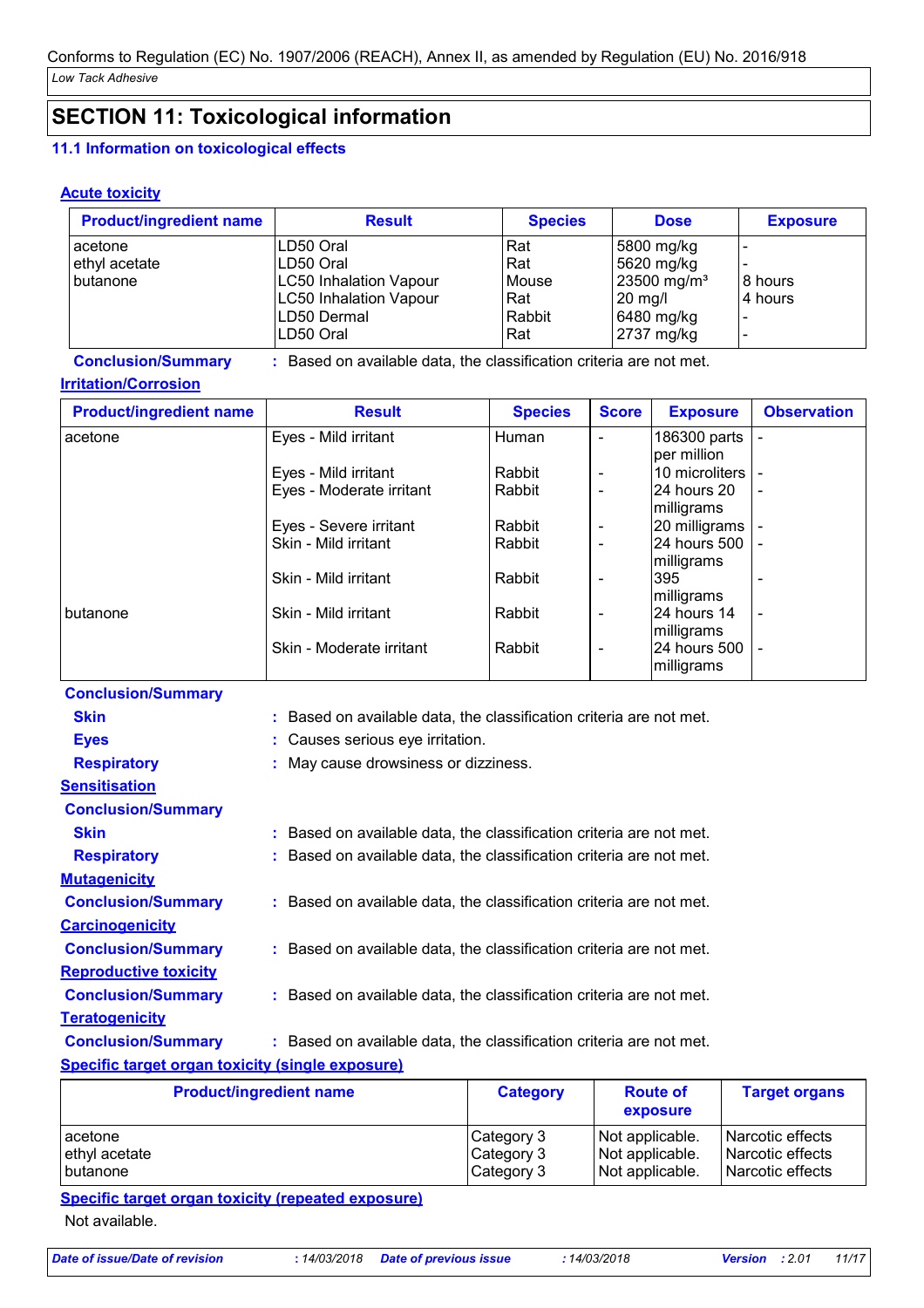# **SECTION 11: Toxicological information**

### **11.1 Information on toxicological effects**

### **Acute toxicity**

| <b>Product/ingredient name</b> | <b>Result</b>                 | <b>Species</b> | <b>Dose</b>               | <b>Exposure</b> |
|--------------------------------|-------------------------------|----------------|---------------------------|-----------------|
| acetone                        | LD50 Oral                     | Rat            | 5800 mg/kg                |                 |
| ethyl acetate                  | LD50 Oral                     | Rat            | 5620 mg/kg                |                 |
| butanone                       | <b>LC50 Inhalation Vapour</b> | <b>Mouse</b>   | $23500$ mg/m <sup>3</sup> | 8 hours         |
|                                | <b>LC50 Inhalation Vapour</b> | Rat            | $20$ mg/                  | l 4 hours       |
|                                | LD50 Dermal                   | Rabbit         | 6480 mg/kg                |                 |
|                                | LD50 Oral                     | Rat            | 2737 mg/kg                |                 |

**Conclusion/Summary :** Based on available data, the classification criteria are not met.

### **Irritation/Corrosion**

| <b>Product/ingredient name</b> | <b>Result</b>            | <b>Species</b> | <b>Score</b>             | <b>Exposure</b> | <b>Observation</b>       |
|--------------------------------|--------------------------|----------------|--------------------------|-----------------|--------------------------|
| acetone                        | Eyes - Mild irritant     | Human          |                          | 186300 parts    |                          |
|                                |                          |                |                          | lper million    |                          |
|                                | Eyes - Mild irritant     | Rabbit         | $\overline{\phantom{a}}$ | 10 microliters  |                          |
|                                | Eyes - Moderate irritant | Rabbit         |                          | 24 hours 20     | $\overline{\phantom{a}}$ |
|                                |                          |                |                          | milligrams      |                          |
|                                | Eyes - Severe irritant   | Rabbit         | $\overline{\phantom{a}}$ | 20 milligrams   |                          |
|                                | Skin - Mild irritant     | Rabbit         |                          | 124 hours 500 1 |                          |
|                                |                          |                |                          | milligrams      |                          |
|                                | Skin - Mild irritant     | Rabbit         | $\overline{\phantom{0}}$ | 395             |                          |
|                                |                          |                |                          | milligrams      |                          |
| butanone                       | Skin - Mild irritant     | Rabbit         | $\overline{\phantom{a}}$ | 24 hours 14     | $\overline{\phantom{a}}$ |
|                                |                          |                |                          | milligrams      |                          |
|                                | Skin - Moderate irritant | Rabbit         |                          | l24 hours 500   |                          |
|                                |                          |                |                          | milligrams      |                          |

| <b>Conclusion/Summary</b>                        |                                                                     |
|--------------------------------------------------|---------------------------------------------------------------------|
| <b>Skin</b>                                      | : Based on available data, the classification criteria are not met. |
| <b>Eyes</b>                                      | : Causes serious eye irritation.                                    |
| <b>Respiratory</b>                               | : May cause drowsiness or dizziness.                                |
| <b>Sensitisation</b>                             |                                                                     |
| <b>Conclusion/Summary</b>                        |                                                                     |
| <b>Skin</b>                                      | : Based on available data, the classification criteria are not met. |
| <b>Respiratory</b>                               | : Based on available data, the classification criteria are not met. |
| <b>Mutagenicity</b>                              |                                                                     |
| <b>Conclusion/Summary</b>                        | : Based on available data, the classification criteria are not met. |
| <b>Carcinogenicity</b>                           |                                                                     |
| <b>Conclusion/Summary</b>                        | : Based on available data, the classification criteria are not met. |
| <b>Reproductive toxicity</b>                     |                                                                     |
| <b>Conclusion/Summary</b>                        | : Based on available data, the classification criteria are not met. |
| <b>Teratogenicity</b>                            |                                                                     |
| <b>Conclusion/Summary</b>                        | : Based on available data, the classification criteria are not met. |
| Specific target organ toxicity (single exposure) |                                                                     |

| <b>Product/ingredient name</b> | <b>Category</b> | <b>Route of</b><br>exposure | <b>Target organs</b> |
|--------------------------------|-----------------|-----------------------------|----------------------|
| acetone                        | Category 3      | Not applicable.             | Narcotic effects     |
| ethyl acetate                  | Category 3      | Not applicable.             | Narcotic effects     |
| <b>butanone</b>                | Category 3      | Not applicable.             | Narcotic effects     |

**Specific target organ toxicity (repeated exposure)**

Not available.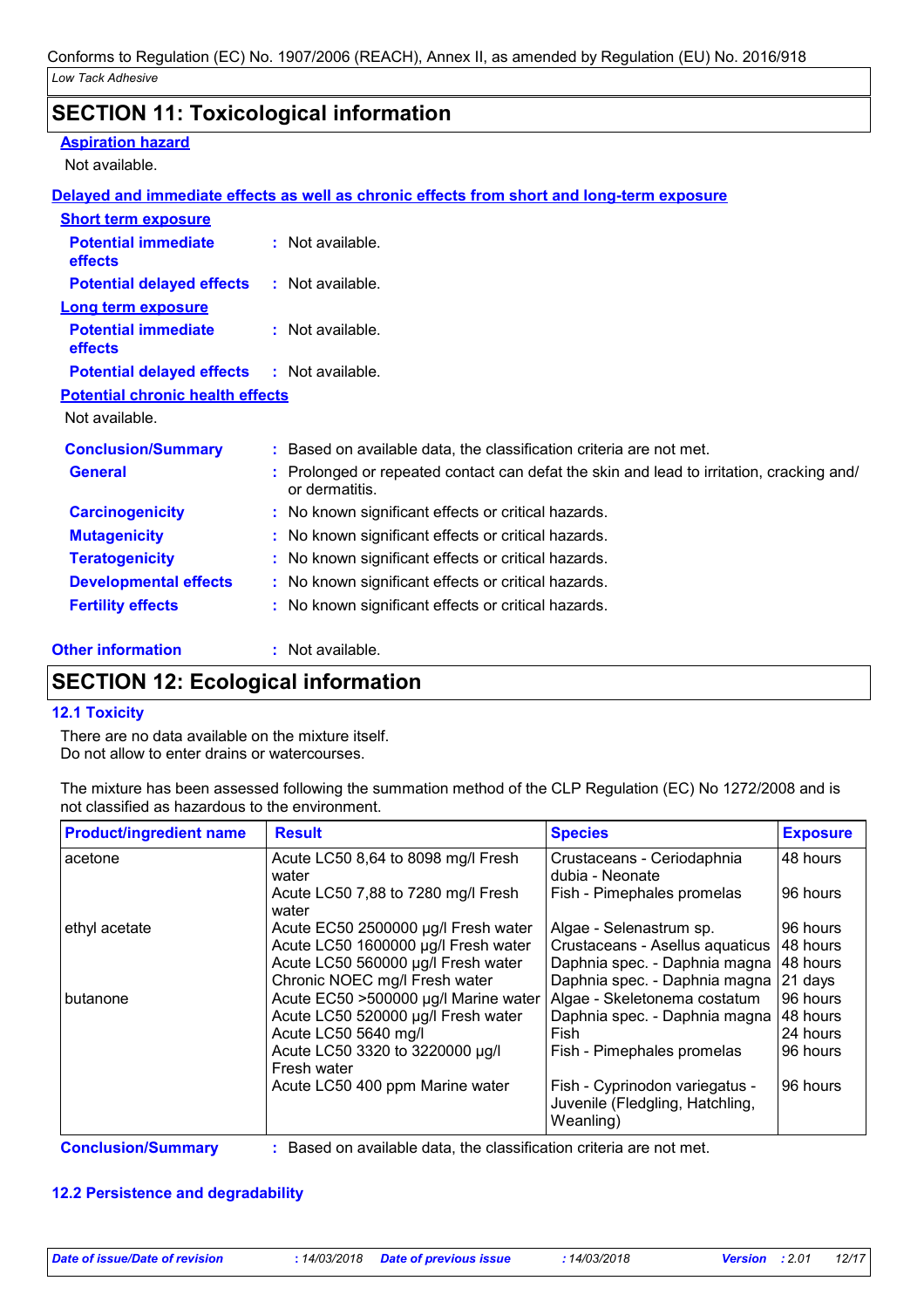### **SECTION 11: Toxicological information**

#### **Aspiration hazard**

Not available.

### **Delayed and immediate effects as well as chronic effects from short and long-term exposure**

| <b>Short term exposure</b>                   |                                                                                                          |
|----------------------------------------------|----------------------------------------------------------------------------------------------------------|
| <b>Potential immediate</b><br><b>effects</b> | $:$ Not available.                                                                                       |
| <b>Potential delayed effects</b>             | $:$ Not available.                                                                                       |
| <b>Long term exposure</b>                    |                                                                                                          |
| <b>Potential immediate</b><br><b>effects</b> | $:$ Not available.                                                                                       |
| <b>Potential delayed effects</b>             | $:$ Not available.                                                                                       |
| <b>Potential chronic health effects</b>      |                                                                                                          |
| Not available.                               |                                                                                                          |
| <b>Conclusion/Summary</b>                    | : Based on available data, the classification criteria are not met.                                      |
| <b>General</b>                               | Prolonged or repeated contact can defat the skin and lead to irritation, cracking and/<br>or dermatitis. |
| <b>Carcinogenicity</b>                       | : No known significant effects or critical hazards.                                                      |
| <b>Mutagenicity</b>                          | : No known significant effects or critical hazards.                                                      |
| <b>Teratogenicity</b>                        | No known significant effects or critical hazards.                                                        |
| <b>Developmental effects</b>                 | : No known significant effects or critical hazards.                                                      |
| <b>Fertility effects</b>                     | : No known significant effects or critical hazards.                                                      |

**Other information :**

: Not available.

### **SECTION 12: Ecological information**

### **12.1 Toxicity**

There are no data available on the mixture itself. Do not allow to enter drains or watercourses.

The mixture has been assessed following the summation method of the CLP Regulation (EC) No 1272/2008 and is not classified as hazardous to the environment.

| <b>Product/ingredient name</b> | <b>Result</b>                                  | <b>Species</b>                                                                 | <b>Exposure</b> |
|--------------------------------|------------------------------------------------|--------------------------------------------------------------------------------|-----------------|
| acetone                        | Acute LC50 8,64 to 8098 mg/l Fresh<br>water    | Crustaceans - Ceriodaphnia<br>dubia - Neonate                                  | 48 hours        |
|                                | Acute LC50 7,88 to 7280 mg/l Fresh<br>water    | Fish - Pimephales promelas                                                     | 96 hours        |
| ethyl acetate                  | Acute EC50 2500000 µg/l Fresh water            | Algae - Selenastrum sp.                                                        | 96 hours        |
|                                | Acute LC50 1600000 µg/l Fresh water            | Crustaceans - Asellus aquaticus                                                | 48 hours        |
|                                | Acute LC50 560000 µg/l Fresh water             | Daphnia spec. - Daphnia magna 48 hours                                         |                 |
|                                | Chronic NOEC mg/l Fresh water                  | Daphnia spec. - Daphnia magna                                                  | 21 days         |
| butanone                       | Acute EC50 >500000 µg/l Marine water           | Algae - Skeletonema costatum                                                   | 96 hours        |
|                                | Acute LC50 520000 µg/l Fresh water             | Daphnia spec. - Daphnia magna                                                  | 48 hours        |
|                                | Acute LC50 5640 mg/l                           | Fish                                                                           | 24 hours        |
|                                | Acute LC50 3320 to 3220000 µg/l<br>Fresh water | Fish - Pimephales promelas                                                     | 96 hours        |
|                                | Acute LC50 400 ppm Marine water                | Fish - Cyprinodon variegatus -<br>Juvenile (Fledgling, Hatchling,<br>Weanling) | 96 hours        |

**Conclusion/Summary :** Based on available data, the classification criteria are not met.

### **12.2 Persistence and degradability**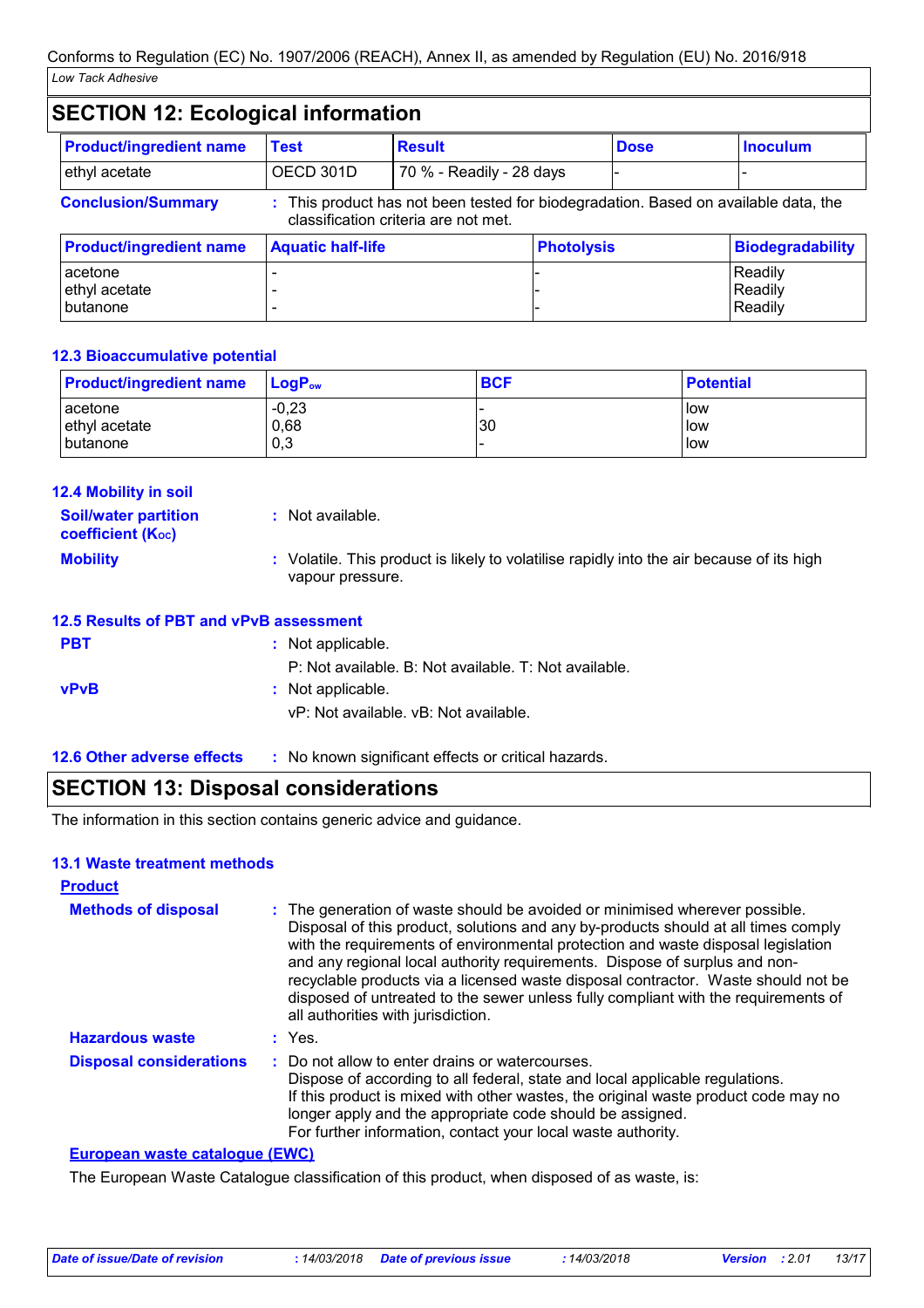| <b>SECTION 12: Ecological information</b> |                                               |                                                                                                                             |  |                         |                               |
|-------------------------------------------|-----------------------------------------------|-----------------------------------------------------------------------------------------------------------------------------|--|-------------------------|-------------------------------|
| <b>Product/ingredient name</b>            | <b>Test</b>                                   | <b>Result</b>                                                                                                               |  | <b>Dose</b>             | <b>Inoculum</b>               |
| ethyl acetate                             | OECD 301D                                     | 70 % - Readily - 28 days                                                                                                    |  |                         |                               |
| <b>Conclusion/Summary</b>                 |                                               | : This product has not been tested for biodegradation. Based on available data, the<br>classification criteria are not met. |  |                         |                               |
| <b>Product/ingredient name</b>            | <b>Aquatic half-life</b><br><b>Photolysis</b> |                                                                                                                             |  | <b>Biodegradability</b> |                               |
| acetone<br>ethyl acetate<br>butanone      |                                               |                                                                                                                             |  |                         | Readily<br>Readily<br>Readily |

### **12.3 Bioaccumulative potential**

| <b>Product/ingredient name</b> | $LoaPow$ | <b>BCF</b> | <b>Potential</b> |
|--------------------------------|----------|------------|------------------|
| acetone                        | $-0,23$  | 30         | l low            |
| ethyl acetate                  | 0,68     |            | ı low            |
| l butanone                     | 0,3      |            | low              |

| 12.4 Mobility in soil                                   |                                                                                                               |
|---------------------------------------------------------|---------------------------------------------------------------------------------------------------------------|
| <b>Soil/water partition</b><br><b>coefficient (Koc)</b> | $:$ Not available.                                                                                            |
| <b>Mobility</b>                                         | : Volatile. This product is likely to volatilise rapidly into the air because of its high<br>vapour pressure. |
| 12.5 Results of PBT and vPvB assessment                 |                                                                                                               |
| <b>PBT</b>                                              | : Not applicable.                                                                                             |
|                                                         | P: Not available. B: Not available. T: Not available.                                                         |
| <b>vPvB</b>                                             | : Not applicable.                                                                                             |
|                                                         | vP: Not available, vB: Not available.                                                                         |
| <b>12.6 Other adverse effects</b>                       | : No known significant effects or critical hazards.                                                           |

### **SECTION 13: Disposal considerations**

The information in this section contains generic advice and guidance.

#### **13.1 Waste treatment methods**

| <b>Product</b>                 |                                                                                                                                                                                                                                                                                                                                                                                                                                                                                                                                                      |  |  |  |
|--------------------------------|------------------------------------------------------------------------------------------------------------------------------------------------------------------------------------------------------------------------------------------------------------------------------------------------------------------------------------------------------------------------------------------------------------------------------------------------------------------------------------------------------------------------------------------------------|--|--|--|
| <b>Methods of disposal</b>     | : The generation of waste should be avoided or minimised wherever possible.<br>Disposal of this product, solutions and any by-products should at all times comply<br>with the requirements of environmental protection and waste disposal legislation<br>and any regional local authority requirements. Dispose of surplus and non-<br>recyclable products via a licensed waste disposal contractor. Waste should not be<br>disposed of untreated to the sewer unless fully compliant with the requirements of<br>all authorities with jurisdiction. |  |  |  |
| <b>Hazardous waste</b>         | $:$ Yes.                                                                                                                                                                                                                                                                                                                                                                                                                                                                                                                                             |  |  |  |
| <b>Disposal considerations</b> | : Do not allow to enter drains or watercourses.<br>Dispose of according to all federal, state and local applicable regulations.<br>If this product is mixed with other wastes, the original waste product code may no<br>longer apply and the appropriate code should be assigned.<br>For further information, contact your local waste authority.                                                                                                                                                                                                   |  |  |  |

#### **European waste catalogue (EWC)**

The European Waste Catalogue classification of this product, when disposed of as waste, is: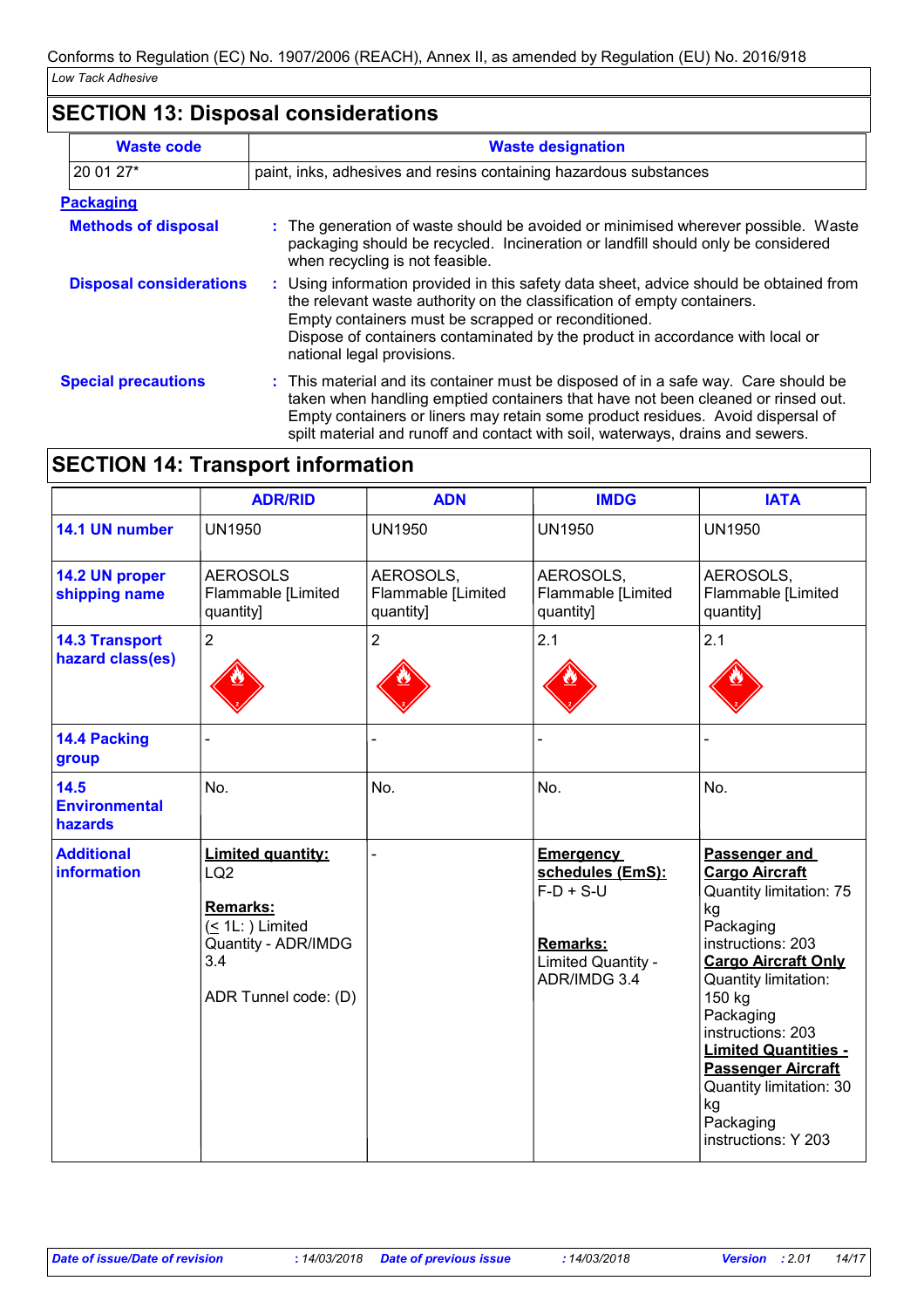# **SECTION 13: Disposal considerations**

| <b>Waste code</b>              | <b>Waste designation</b>                                                                                                                                                                                                                                                                                                                     |  |  |  |  |
|--------------------------------|----------------------------------------------------------------------------------------------------------------------------------------------------------------------------------------------------------------------------------------------------------------------------------------------------------------------------------------------|--|--|--|--|
| 20 01 27*                      | paint, inks, adhesives and resins containing hazardous substances                                                                                                                                                                                                                                                                            |  |  |  |  |
| <b>Packaging</b>               |                                                                                                                                                                                                                                                                                                                                              |  |  |  |  |
| <b>Methods of disposal</b>     | : The generation of waste should be avoided or minimised wherever possible. Waste<br>packaging should be recycled. Incineration or landfill should only be considered<br>when recycling is not feasible.                                                                                                                                     |  |  |  |  |
| <b>Disposal considerations</b> | : Using information provided in this safety data sheet, advice should be obtained from<br>the relevant waste authority on the classification of empty containers.<br>Empty containers must be scrapped or reconditioned.<br>Dispose of containers contaminated by the product in accordance with local or<br>national legal provisions.      |  |  |  |  |
| <b>Special precautions</b>     | : This material and its container must be disposed of in a safe way. Care should be<br>taken when handling emptied containers that have not been cleaned or rinsed out.<br>Empty containers or liners may retain some product residues. Avoid dispersal of<br>spilt material and runoff and contact with soil, waterways, drains and sewers. |  |  |  |  |

# **SECTION 14: Transport information**

|                                           | <b>ADR/RID</b>                                                                                                                             | <b>ADN</b>                                   | <b>IMDG</b>                                                                                                         | <b>IATA</b>                                                                                                                                                                                                                                                                                                                                         |
|-------------------------------------------|--------------------------------------------------------------------------------------------------------------------------------------------|----------------------------------------------|---------------------------------------------------------------------------------------------------------------------|-----------------------------------------------------------------------------------------------------------------------------------------------------------------------------------------------------------------------------------------------------------------------------------------------------------------------------------------------------|
| 14.1 UN number                            | <b>UN1950</b>                                                                                                                              | <b>UN1950</b>                                | <b>UN1950</b>                                                                                                       | <b>UN1950</b>                                                                                                                                                                                                                                                                                                                                       |
| 14.2 UN proper<br>shipping name           | <b>AEROSOLS</b><br>Flammable [Limited<br>quantity]                                                                                         | AEROSOLS,<br>Flammable [Limited<br>quantity] | AEROSOLS,<br>Flammable [Limited<br>quantity]                                                                        | AEROSOLS,<br>Flammable [Limited<br>quantity]                                                                                                                                                                                                                                                                                                        |
| <b>14.3 Transport</b><br>hazard class(es) | $\overline{2}$                                                                                                                             | 2                                            | 2.1                                                                                                                 | 2.1                                                                                                                                                                                                                                                                                                                                                 |
| 14.4 Packing<br>group                     |                                                                                                                                            |                                              |                                                                                                                     |                                                                                                                                                                                                                                                                                                                                                     |
| 14.5<br><b>Environmental</b><br>hazards   | No.                                                                                                                                        | No.                                          | No.                                                                                                                 | No.                                                                                                                                                                                                                                                                                                                                                 |
| <b>Additional</b><br><b>information</b>   | <b>Limited quantity:</b><br>LQ <sub>2</sub><br>Remarks:<br>$( \leq 1L$ : $)$ Limited<br>Quantity - ADR/IMDG<br>3.4<br>ADR Tunnel code: (D) |                                              | <b>Emergency</b><br>schedules (EmS):<br>$F-D + S-U$<br><b>Remarks:</b><br><b>Limited Quantity -</b><br>ADR/IMDG 3.4 | Passenger and<br><b>Cargo Aircraft</b><br><b>Quantity limitation: 75</b><br>kg<br>Packaging<br>instructions: 203<br><b>Cargo Aircraft Only</b><br>Quantity limitation:<br>150 kg<br>Packaging<br>instructions: 203<br><b>Limited Quantities -</b><br><b>Passenger Aircraft</b><br>Quantity limitation: 30<br>kg<br>Packaging<br>instructions: Y 203 |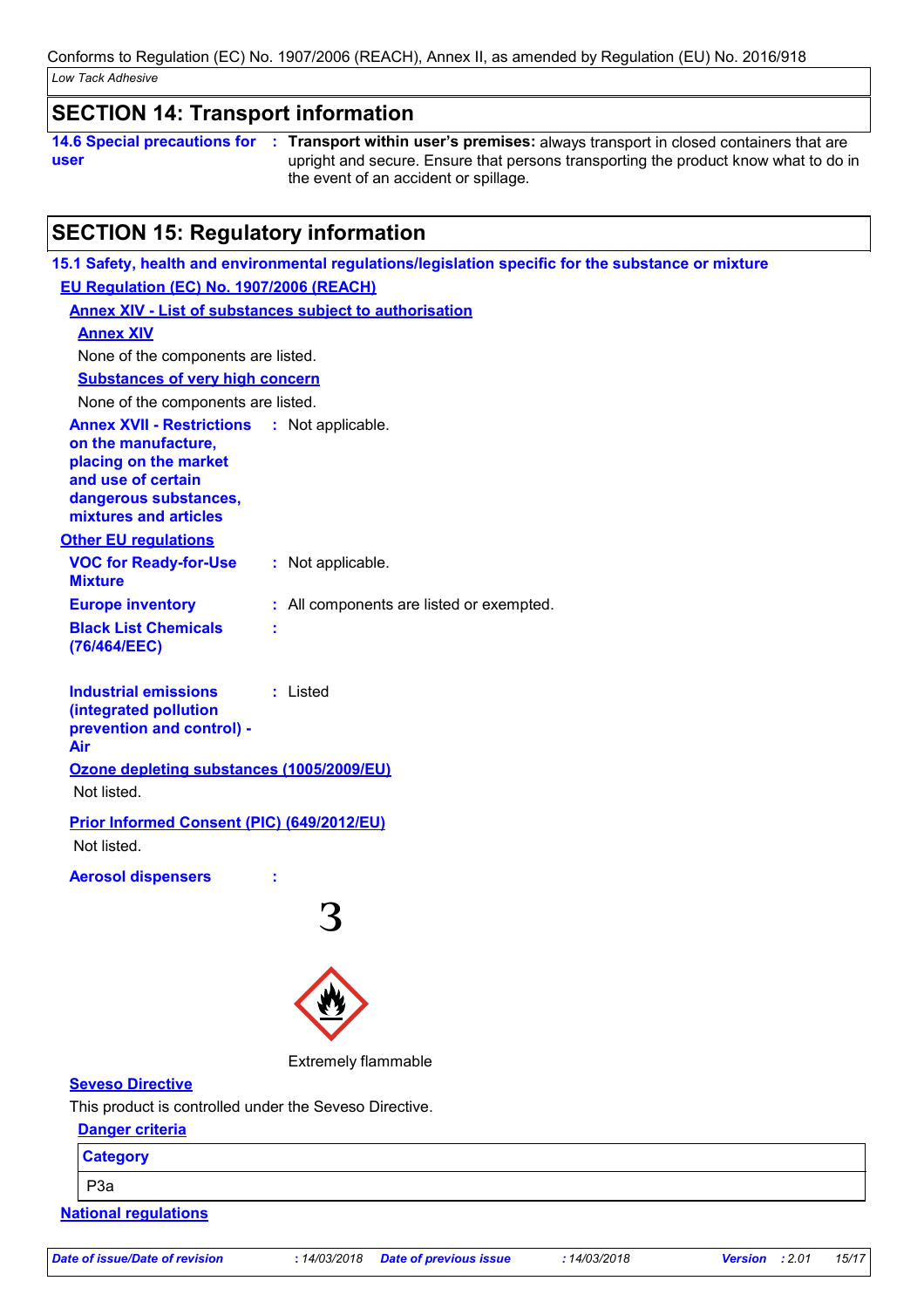### **SECTION 14: Transport information**

**14.6 Special precautions for user Transport within user's premises:** always transport in closed containers that are **:** upright and secure. Ensure that persons transporting the product know what to do in the event of an accident or spillage.

## **SECTION 15: Regulatory information**

| EU Regulation (EC) No. 1907/2006 (REACH)<br><b>Annex XIV - List of substances subject to authorisation</b><br><b>Annex XIV</b><br>None of the components are listed.<br><b>Substances of very high concern</b><br>None of the components are listed.<br><b>Annex XVII - Restrictions</b><br>: Not applicable.<br>on the manufacture,<br>placing on the market<br>and use of certain<br>dangerous substances,<br>mixtures and articles<br><b>Other EU regulations</b><br><b>VOC for Ready-for-Use</b><br>: Not applicable.<br><b>Mixture</b><br><b>Europe inventory</b><br>: All components are listed or exempted.<br><b>Black List Chemicals</b><br>(76/464/EEC)<br>: Listed<br><b>Industrial emissions</b><br>(integrated pollution<br>prevention and control) -<br>Air<br>Ozone depleting substances (1005/2009/EU)<br>Not listed.<br>Prior Informed Consent (PIC) (649/2012/EU)<br>Not listed.<br><b>Aerosol dispensers</b><br><b>Extremely flammable</b><br><b>Seveso Directive</b> |
|------------------------------------------------------------------------------------------------------------------------------------------------------------------------------------------------------------------------------------------------------------------------------------------------------------------------------------------------------------------------------------------------------------------------------------------------------------------------------------------------------------------------------------------------------------------------------------------------------------------------------------------------------------------------------------------------------------------------------------------------------------------------------------------------------------------------------------------------------------------------------------------------------------------------------------------------------------------------------------------|
|                                                                                                                                                                                                                                                                                                                                                                                                                                                                                                                                                                                                                                                                                                                                                                                                                                                                                                                                                                                          |
|                                                                                                                                                                                                                                                                                                                                                                                                                                                                                                                                                                                                                                                                                                                                                                                                                                                                                                                                                                                          |
|                                                                                                                                                                                                                                                                                                                                                                                                                                                                                                                                                                                                                                                                                                                                                                                                                                                                                                                                                                                          |
|                                                                                                                                                                                                                                                                                                                                                                                                                                                                                                                                                                                                                                                                                                                                                                                                                                                                                                                                                                                          |
|                                                                                                                                                                                                                                                                                                                                                                                                                                                                                                                                                                                                                                                                                                                                                                                                                                                                                                                                                                                          |
|                                                                                                                                                                                                                                                                                                                                                                                                                                                                                                                                                                                                                                                                                                                                                                                                                                                                                                                                                                                          |
|                                                                                                                                                                                                                                                                                                                                                                                                                                                                                                                                                                                                                                                                                                                                                                                                                                                                                                                                                                                          |
|                                                                                                                                                                                                                                                                                                                                                                                                                                                                                                                                                                                                                                                                                                                                                                                                                                                                                                                                                                                          |
|                                                                                                                                                                                                                                                                                                                                                                                                                                                                                                                                                                                                                                                                                                                                                                                                                                                                                                                                                                                          |
|                                                                                                                                                                                                                                                                                                                                                                                                                                                                                                                                                                                                                                                                                                                                                                                                                                                                                                                                                                                          |
|                                                                                                                                                                                                                                                                                                                                                                                                                                                                                                                                                                                                                                                                                                                                                                                                                                                                                                                                                                                          |
|                                                                                                                                                                                                                                                                                                                                                                                                                                                                                                                                                                                                                                                                                                                                                                                                                                                                                                                                                                                          |
|                                                                                                                                                                                                                                                                                                                                                                                                                                                                                                                                                                                                                                                                                                                                                                                                                                                                                                                                                                                          |
|                                                                                                                                                                                                                                                                                                                                                                                                                                                                                                                                                                                                                                                                                                                                                                                                                                                                                                                                                                                          |
|                                                                                                                                                                                                                                                                                                                                                                                                                                                                                                                                                                                                                                                                                                                                                                                                                                                                                                                                                                                          |
|                                                                                                                                                                                                                                                                                                                                                                                                                                                                                                                                                                                                                                                                                                                                                                                                                                                                                                                                                                                          |
|                                                                                                                                                                                                                                                                                                                                                                                                                                                                                                                                                                                                                                                                                                                                                                                                                                                                                                                                                                                          |
|                                                                                                                                                                                                                                                                                                                                                                                                                                                                                                                                                                                                                                                                                                                                                                                                                                                                                                                                                                                          |
|                                                                                                                                                                                                                                                                                                                                                                                                                                                                                                                                                                                                                                                                                                                                                                                                                                                                                                                                                                                          |
|                                                                                                                                                                                                                                                                                                                                                                                                                                                                                                                                                                                                                                                                                                                                                                                                                                                                                                                                                                                          |
| This product is controlled under the Seveso Directive.                                                                                                                                                                                                                                                                                                                                                                                                                                                                                                                                                                                                                                                                                                                                                                                                                                                                                                                                   |
| <b>Danger criteria</b>                                                                                                                                                                                                                                                                                                                                                                                                                                                                                                                                                                                                                                                                                                                                                                                                                                                                                                                                                                   |
| <b>Category</b>                                                                                                                                                                                                                                                                                                                                                                                                                                                                                                                                                                                                                                                                                                                                                                                                                                                                                                                                                                          |
| P <sub>3</sub> a                                                                                                                                                                                                                                                                                                                                                                                                                                                                                                                                                                                                                                                                                                                                                                                                                                                                                                                                                                         |

**National regulations**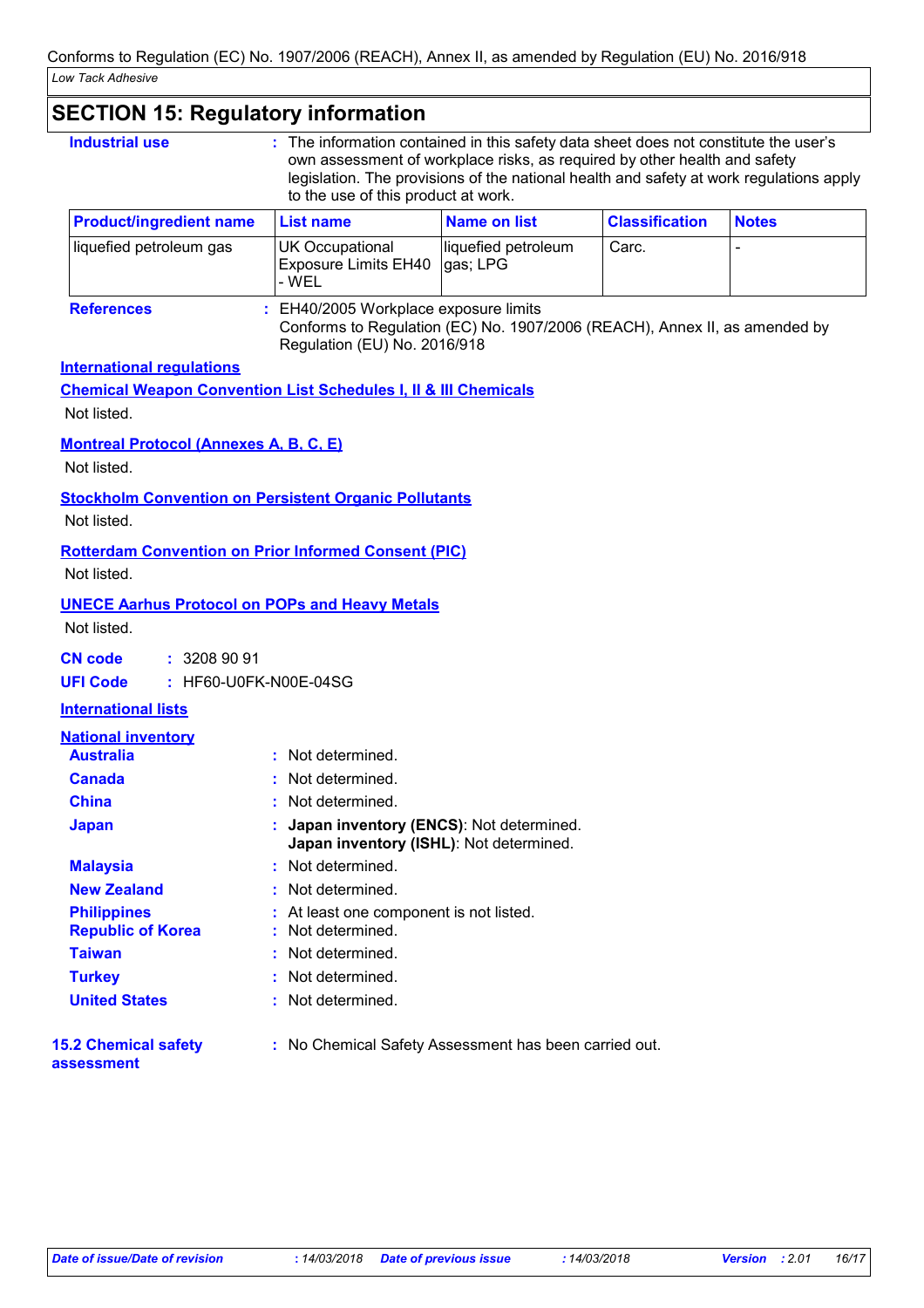### **SECTION 15: Regulatory information**

| <b>Industrial use</b><br>: The information contained in this safety data sheet does not constitute the user's<br>own assessment of workplace risks, as required by other health and safety<br>legislation. The provisions of the national health and safety at work regulations apply<br>to the use of this product at work. |                                                                                                                                                   |                                 |                       |              |  |  |
|------------------------------------------------------------------------------------------------------------------------------------------------------------------------------------------------------------------------------------------------------------------------------------------------------------------------------|---------------------------------------------------------------------------------------------------------------------------------------------------|---------------------------------|-----------------------|--------------|--|--|
| <b>Product/ingredient name</b>                                                                                                                                                                                                                                                                                               | <b>List name</b>                                                                                                                                  | <b>Name on list</b>             | <b>Classification</b> | <b>Notes</b> |  |  |
| liquefied petroleum gas                                                                                                                                                                                                                                                                                                      | <b>UK Occupational</b><br><b>Exposure Limits EH40</b><br>- WEL                                                                                    | liquefied petroleum<br>gas; LPG | Carc.                 |              |  |  |
| <b>References</b>                                                                                                                                                                                                                                                                                                            | EH40/2005 Workplace exposure limits<br>Conforms to Regulation (EC) No. 1907/2006 (REACH), Annex II, as amended by<br>Regulation (EU) No. 2016/918 |                                 |                       |              |  |  |
| <b>International requlations</b>                                                                                                                                                                                                                                                                                             |                                                                                                                                                   |                                 |                       |              |  |  |
| Not listed.                                                                                                                                                                                                                                                                                                                  | <b>Chemical Weapon Convention List Schedules I, II &amp; III Chemicals</b>                                                                        |                                 |                       |              |  |  |
|                                                                                                                                                                                                                                                                                                                              |                                                                                                                                                   |                                 |                       |              |  |  |
| <b>Montreal Protocol (Annexes A, B, C, E)</b><br>Not listed.                                                                                                                                                                                                                                                                 |                                                                                                                                                   |                                 |                       |              |  |  |
|                                                                                                                                                                                                                                                                                                                              | <b>Stockholm Convention on Persistent Organic Pollutants</b>                                                                                      |                                 |                       |              |  |  |
| Not listed.                                                                                                                                                                                                                                                                                                                  |                                                                                                                                                   |                                 |                       |              |  |  |
|                                                                                                                                                                                                                                                                                                                              | <b>Rotterdam Convention on Prior Informed Consent (PIC)</b>                                                                                       |                                 |                       |              |  |  |
| Not listed.                                                                                                                                                                                                                                                                                                                  |                                                                                                                                                   |                                 |                       |              |  |  |
|                                                                                                                                                                                                                                                                                                                              | <b>UNECE Aarhus Protocol on POPs and Heavy Metals</b>                                                                                             |                                 |                       |              |  |  |
| Not listed.                                                                                                                                                                                                                                                                                                                  |                                                                                                                                                   |                                 |                       |              |  |  |
| : 32089091                                                                                                                                                                                                                                                                                                                   |                                                                                                                                                   |                                 |                       |              |  |  |
| <b>CN code</b><br><b>UFI Code</b>                                                                                                                                                                                                                                                                                            | : HF60-U0FK-N00E-04SG                                                                                                                             |                                 |                       |              |  |  |
| <b>International lists</b>                                                                                                                                                                                                                                                                                                   |                                                                                                                                                   |                                 |                       |              |  |  |
|                                                                                                                                                                                                                                                                                                                              |                                                                                                                                                   |                                 |                       |              |  |  |
| <b>National inventory</b><br><b>Australia</b>                                                                                                                                                                                                                                                                                | : Not determined.                                                                                                                                 |                                 |                       |              |  |  |
| <b>Canada</b>                                                                                                                                                                                                                                                                                                                | Not determined.                                                                                                                                   |                                 |                       |              |  |  |
| <b>China</b>                                                                                                                                                                                                                                                                                                                 | : Not determined.                                                                                                                                 |                                 |                       |              |  |  |
| <b>Japan</b>                                                                                                                                                                                                                                                                                                                 | : Japan inventory (ENCS): Not determined.<br>Japan inventory (ISHL): Not determined.                                                              |                                 |                       |              |  |  |
| <b>Malaysia</b>                                                                                                                                                                                                                                                                                                              | : Not determined.                                                                                                                                 |                                 |                       |              |  |  |
| <b>New Zealand</b>                                                                                                                                                                                                                                                                                                           | Not determined.                                                                                                                                   |                                 |                       |              |  |  |
| <b>Philippines</b>                                                                                                                                                                                                                                                                                                           | At least one component is not listed.                                                                                                             |                                 |                       |              |  |  |
| <b>Republic of Korea</b>                                                                                                                                                                                                                                                                                                     | Not determined.                                                                                                                                   |                                 |                       |              |  |  |
| <b>Taiwan</b>                                                                                                                                                                                                                                                                                                                | Not determined.                                                                                                                                   |                                 |                       |              |  |  |
| <b>Turkey</b><br><b>United States</b>                                                                                                                                                                                                                                                                                        | Not determined.<br>Not determined.                                                                                                                |                                 |                       |              |  |  |
|                                                                                                                                                                                                                                                                                                                              |                                                                                                                                                   |                                 |                       |              |  |  |
| <b>15.2 Chemical safety</b><br>assessment                                                                                                                                                                                                                                                                                    | : No Chemical Safety Assessment has been carried out.                                                                                             |                                 |                       |              |  |  |